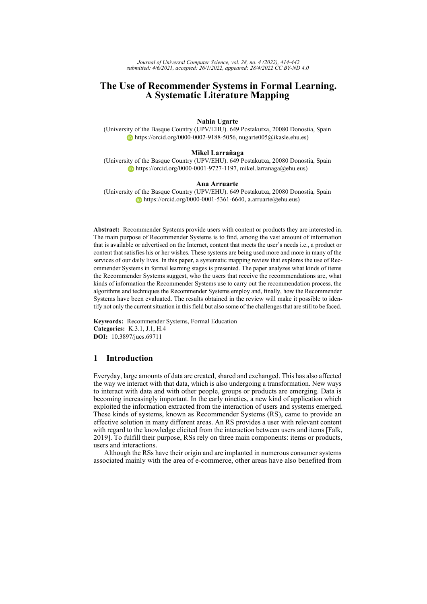# **The Use of Recommender Systems in Formal Learning. A Systematic Literature Mapping**

# **Nahia Ugarte**

(University of the Basque Country (UPV/EHU). 649 Postakutxa, 20080 Donostia, Spain [https://orcid.org/0000-0002-9188-5056,](https://orcid.org/0000-0002-9188-5056) nugarte005@ikasle.ehu.es)

#### **Mikel Larrañaga**

(University of the Basque Country (UPV/EHU). 649 Postakutxa, 20080 Donostia, Spain  $\bullet$  [https://orcid.org/0000-0001-9727-1197,](https://orcid.org/0000-0001-9727-1197) mikel.larranaga@ehu.eus)

#### **Ana Arruarte**

(University of the Basque Country (UPV/EHU). 649 Postakutxa, 20080 Donostia, Spain  $\bullet$  [https://orcid.org/0000-0001-5361-6640,](https://orcid.org/0000-0001-5361-6640) a.arruarte@ehu.eus)

**Abstract:** Recommender Systems provide users with content or products they are interested in. The main purpose of Recommender Systems is to find, among the vast amount of information that is available or advertised on the Internet, content that meets the user's needs i.e., a product or content that satisfies his or her wishes. These systems are being used more and more in many of the services of our daily lives. In this paper, a systematic mapping review that explores the use of Recommender Systems in formal learning stages is presented. The paper analyzes what kinds of items the Recommender Systems suggest, who the users that receive the recommendations are, what kinds of information the Recommender Systems use to carry out the recommendation process, the algorithms and techniques the Recommender Systems employ and, finally, how the Recommender Systems have been evaluated. The results obtained in the review will make it possible to identify not only the current situation in this field but also some of the challenges that are still to be faced.

**Keywords:** Recommender Systems, Formal Education **Categories:** K.3.1, J.1, H.4 **DOI:** 10.3897/jucs.69711

# <span id="page-0-0"></span>**1 Introduction**

Everyday, large amounts of data are created, shared and exchanged. This has also affected the way we interact with that data, which is also undergoing a transformation. New ways to interact with data and with other people, groups or products are emerging. Data is becoming increasingly important. In the early nineties, a new kind of application which exploited the information extracted from the interaction of users and systems emerged. These kinds of systems, known as Recommender Systems (RS), came to provide an effective solution in many different areas. An RS provides a user with relevant content with regard to the knowledge elicited from the interaction between users and items [\[Falk,](#page-23-0) [2019\]](#page-23-0). To fulfill their purpose, RSs rely on three main components: items or products, users and interactions.

Although the RSs have their origin and are implanted in numerous consumer systems associated mainly with the area of e-commerce, other areas have also benefited from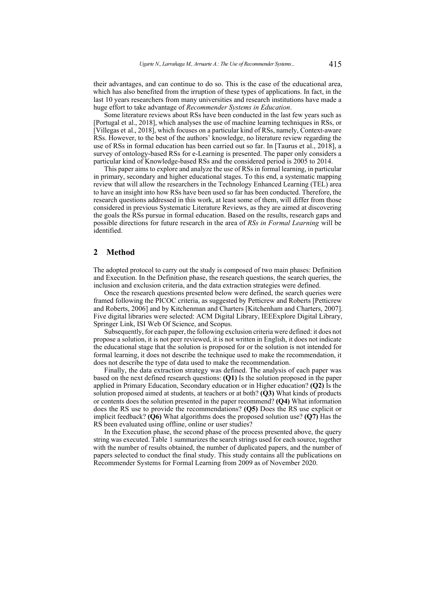their advantages, and can continue to do so. This is the case of the educational area, which has also benefited from the irruption of these types of applications. In fact, in the last 10 years researchers from many universities and research institutions have made a huge effort to take advantage of *Recommender Systems in Education*.

Some literature reviews about RSs have been conducted in the last few years such as [\[Portugal et al., 2018\]](#page-26-0), which analyses the use of machine learning techniques in RSs, or [\[Villegas et al., 2018\]](#page-27-0), which focuses on a particular kind of RSs, namely, Context-aware RSs. However, to the best of the authors' knowledge, no literature review regarding the use of RSs in formal education has been carried out so far. In [\[Taurus et al., 2018\]](#page-27-1), a survey of ontology-based RSs for e-Learning is presented. The paper only considers a particular kind of Knowledge-based RSs and the considered period is 2005 to 2014.

This paper aims to explore and analyze the use of RSs in formal learning, in particular in primary, secondary and higher educational stages. To this end, a systematic mapping review that will allow the researchers in the Technology Enhanced Learning (TEL) area to have an insight into how RSs have been used so far has been conducted. Therefore, the research questions addressed in this work, at least some of them, will differ from those considered in previous Systematic Literature Reviews, as they are aimed at discovering the goals the RSs pursue in formal education. Based on the results, research gaps and possible directions for future research in the area of *RSs in Formal Learning* will be identified.

### **2 Method**

The adopted protocol to carry out the study is composed of two main phases: Definition and Execution. In the Definition phase, the research questions, the search queries, the inclusion and exclusion criteria, and the data extraction strategies were defined.

Once the research questions presented below were defined, the search queries were framed following the PICOC criteria, as suggested by Petticrew and Roberts [\[Petticrew](#page-26-1) [and Roberts, 2006\]](#page-26-1) and by Kitchenman and Charters [\[Kitchenham and Charters, 2007\]](#page-24-0). Five digital libraries were selected: ACM Digital Library, IEEExplore Digital Library, Springer Link, ISI Web Of Science, and Scopus.

Subsequently, for each paper, the following exclusion criteria were defined: it does not propose a solution, it is not peer reviewed, it is not written in English, it does not indicate the educational stage that the solution is proposed for or the solution is not intended for formal learning, it does not describe the technique used to make the recommendation, it does not describe the type of data used to make the recommendation.

Finally, the data extraction strategy was defined. The analysis of each paper was based on the next defined research questions: **(Q1)** Is the solution proposed in the paper applied in Primary Education, Secondary education or in Higher education? **(Q2)** Is the solution proposed aimed at students, at teachers or at both? **(Q3)** What kinds of products or contents does the solution presented in the paper recommend? **(Q4)** What information does the RS use to provide the recommendations? **(Q5)** Does the RS use explicit or implicit feedback? **(Q6)** What algorithms does the proposed solution use? **(Q7)** Has the RS been evaluated using offline, online or user studies?

In the Execution phase, the second phase of the process presented above, the query string was executed. Table [1](#page-2-0) summarizes the search strings used for each source, together with the number of results obtained, the number of duplicated papers, and the number of papers selected to conduct the final study. This study contains all the publications on Recommender Systems for Formal Learning from 2009 as of November 2020.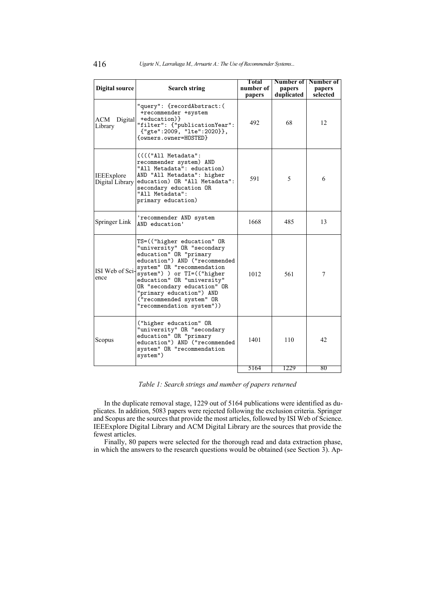<span id="page-2-0"></span>

| Digital source                | <b>Search string</b>                                                                                                                                                                                                                                                                                                              | Total<br>number of<br>papers | Number of<br>papers<br>duplicated | Number of<br>papers<br>selected |
|-------------------------------|-----------------------------------------------------------------------------------------------------------------------------------------------------------------------------------------------------------------------------------------------------------------------------------------------------------------------------------|------------------------------|-----------------------------------|---------------------------------|
| ACM Digital<br>Library        | "query": {recordAbstract:(<br>+recommender +system<br>+education) }<br>"filter": {"publicationYear":<br>{"gte":2009, "lte":2020}},<br>{owners.owner=HOSTED}                                                                                                                                                                       | 492                          | 68                                | 12                              |
| IEEExplore<br>Digital Library | (((("All Metadata":<br>recommender system) AND<br>"All Metadata": education)<br>AND "All Metadata": higher<br>education) OR "All Metadata":<br>secondary education OR<br>"All Metadata":<br>primary education)                                                                                                                    | 591                          | 5                                 | 6                               |
| Springer Link                 | 'recommender AND system<br>AND education'                                                                                                                                                                                                                                                                                         | 1668                         | 485                               | 13                              |
| ISI Web of Sci-<br>ence       | TS=(("higher education" OR<br>"university" OR "secondary<br>education" OR "primary<br>education") AND ("recommended<br>system" OR "recommendation<br>system") ) or TI=(("higher<br>education" OR "university"<br>OR "secondary education" OR<br>"primary education") AND<br>("recommended system" OR<br>"recommendation system")) | 1012                         | 561                               | 7                               |
| Scopus                        | ("higher education" OR<br>"university" OR "secondary<br>education" OR "primary<br>education") AND ("recommended<br>system" OR "recommendation<br>system")                                                                                                                                                                         | 1401                         | 110                               | 42                              |
|                               |                                                                                                                                                                                                                                                                                                                                   | 5164                         | 1229                              | 80                              |

*Table 1: Search strings and number of papers returned*

In the duplicate removal stage, 1229 out of 5164 publications were identified as duplicates. In addition, 5083 papers were rejected following the exclusion criteria. Springer and Scopus are the sources that provide the most articles, followed by ISI Web of Science. IEEExplore Digital Library and ACM Digital Library are the sources that provide the fewest articles.

Finally, 80 papers were selected for the thorough read and data extraction phase, in which the answers to the research questions would be obtained (see Section [3\)](#page-3-0). Ap-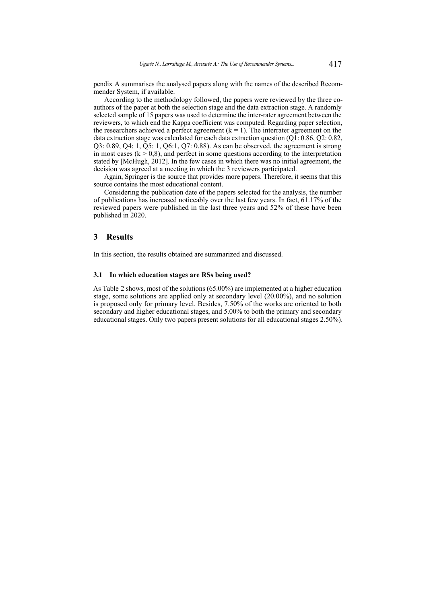pendix [A](#page-0-0) summarises the analysed papers along with the names of the described Recommender System, if available.

According to the methodology followed, the papers were reviewed by the three coauthors of the paper at both the selection stage and the data extraction stage. A randomly selected sample of 15 papers was used to determine the inter-rater agreement between the reviewers, to which end the Kappa coefficient was computed. Regarding paper selection, the researchers achieved a perfect agreement  $(k = 1)$ . The interrater agreement on the data extraction stage was calculated for each data extraction question (Q1: 0.86, Q2: 0.82, Q3: 0.89, Q4: 1, Q5: 1, Q6:1, Q7: 0.88). As can be observed, the agreement is strong in most cases  $(k > 0.8)$ , and perfect in some questions according to the interpretation stated by [\[McHugh, 2012\]](#page-25-0). In the few cases in which there was no initial agreement, the decision was agreed at a meeting in which the 3 reviewers participated.

Again, Springer is the source that provides more papers. Therefore, it seems that this source contains the most educational content.

Considering the publication date of the papers selected for the analysis, the number of publications has increased noticeably over the last few years. In fact, 61.17% of the reviewed papers were published in the last three years and 52% of these have been published in 2020.

### <span id="page-3-0"></span>**3 Results**

In this section, the results obtained are summarized and discussed.

#### **3.1 In which education stages are RSs being used?**

<span id="page-3-1"></span>As Table [2](#page-3-1) shows, most of the solutions (65.00%) are implemented at a higher education stage, some solutions are applied only at secondary level (20.00%), and no solution is proposed only for primary level. Besides, 7.50% of the works are oriented to both secondary and higher educational stages, and 5.00% to both the primary and secondary educational stages. Only two papers present solutions for all educational stages 2.50%).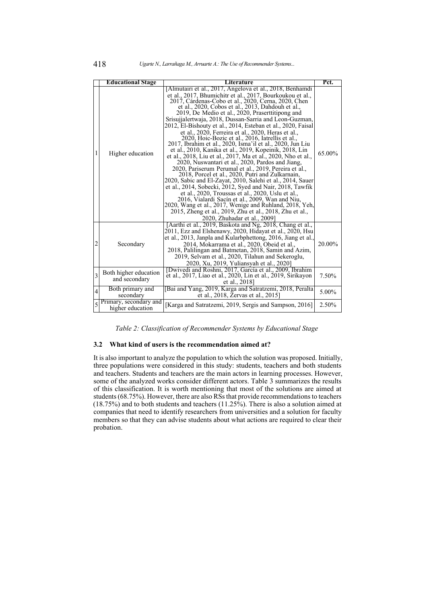|                | <b>Educational Stage</b>                   | Literature                                                                                                                                                                                                                                                                                                                                                                                                                                                                                                                                                                                                                                                                                                                                                                                                                                                                                                                                                                                                                                                                                                                                                                                                                                                                | Pct.   |
|----------------|--------------------------------------------|---------------------------------------------------------------------------------------------------------------------------------------------------------------------------------------------------------------------------------------------------------------------------------------------------------------------------------------------------------------------------------------------------------------------------------------------------------------------------------------------------------------------------------------------------------------------------------------------------------------------------------------------------------------------------------------------------------------------------------------------------------------------------------------------------------------------------------------------------------------------------------------------------------------------------------------------------------------------------------------------------------------------------------------------------------------------------------------------------------------------------------------------------------------------------------------------------------------------------------------------------------------------------|--------|
| 1              | Higher education                           | [Almutairi et al., 2017, Angelova et al., 2018, Benhamdi<br>et al., 2017, Bhumichitr et al., 2017, Bourkoukou et al.,<br>2017, Cárdenas-Cobo et al., 2020, Cerna, 2020, Chen<br>et al., 2020, Cobos et al., 2013, Dahdouh et al.,<br>2019, De Medio et al., 2020, Praserttitipong and<br>Srisujialertwaja, 2018, Dussan-Sarria and Leon-Guzman,<br>2012, El-Bishouty et al., 2014, Esteban et al., 2020, Faisal<br>et al., 2020, Ferreira et al., 2020, Heras et al.,<br>2020, Hoic-Bozic et al., 2016, Iatrellis et al.,<br>2017, Ibrahim et al., 2020, Isma'il et al., 2020, Jun Liu<br>et al., 2010, Kanika et al., 2019, Kopeinik, 2018, Lin<br>et al., 2018, Liu et al., 2017, Ma et al., 2020, Nho et al.,<br>2020, Nuswantari et al., 2020, Pardos and Jiang,<br>2020, Pariserum Perumal et al., 2019, Pereira et al.,<br>2018, Porcel et al., 2020, Putri and Zulkarnain,<br>2020, Sabic and El-Zayat, 2010, Salehi et al., 2014, Sauer<br>et al., 2014, Sobecki, 2012, Syed and Nair, 2018, Tawfik<br>et al., 2020, Troussas et al., 2020, Uslu et al.,<br>2016, Vialardi Sacín et al., 2009, Wan and Niu,<br>2020, Wang et al., 2017, Wenige and Ruhland, 2018, Yeh,<br>2015, Zheng et al., 2019, Zhu et al., 2018, Zhu et al.,<br>2020, Zhuhadar et al., 2009] | 65.00% |
| 2              | Secondary                                  | [Aarthi et al., 2019, Baskota and Ng, 2018, Chang et al.,<br>2011, Ezz and Elshenawy, 2020, Hidayat et al., 2020, Hsu<br>et al., 2013, Janpla and Kularbphettong, 2016, Jiang et al.,<br>2014, Mokarrama et al., 2020, Obeid et al.,<br>2018, Palilingan and Batmetan, 2018, Samin and Azim,<br>2019, Selvam et al., 2020, Tilahun and Sekeroglu,<br>2020, Xu, 2019, Yuliansyah et al., 2020]                                                                                                                                                                                                                                                                                                                                                                                                                                                                                                                                                                                                                                                                                                                                                                                                                                                                             | 20.00% |
| 3              | Both higher education<br>and secondary     | [Dwivedi and Roshni, 2017, García et al., 2009, Ibrahim<br>et al., 2017, Liao et al., 2020, Lin et al., 2019, Sirikayon<br>et al., 2018]                                                                                                                                                                                                                                                                                                                                                                                                                                                                                                                                                                                                                                                                                                                                                                                                                                                                                                                                                                                                                                                                                                                                  | 7.50%  |
| $\overline{4}$ | Both primary and<br>secondary              | [Bai and Yang, 2019, Karga and Satratzemi, 2018, Peralta<br>et al., 2018, Zervas et al., 2015]                                                                                                                                                                                                                                                                                                                                                                                                                                                                                                                                                                                                                                                                                                                                                                                                                                                                                                                                                                                                                                                                                                                                                                            | 5.00%  |
|                | Primary, secondary and<br>higher education | [Karga and Satratzemi, 2019, Sergis and Sampson, 2016]                                                                                                                                                                                                                                                                                                                                                                                                                                                                                                                                                                                                                                                                                                                                                                                                                                                                                                                                                                                                                                                                                                                                                                                                                    | 2.50%  |

*Table 2: Classification of Recommender Systems by Educational Stage*

#### **3.2 What kind of users is the recommendation aimed at?**

<span id="page-4-0"></span>It is also important to analyze the population to which the solution was proposed. Initially, three populations were considered in this study: students, teachers and both students and teachers. Students and teachers are the main actors in learning processes. However, some of the analyzed works consider different actors. Table [3](#page-4-0) summarizes the results of this classification. It is worth mentioning that most of the solutions are aimed at students (68.75%). However, there are also RSs that provide recommendations to teachers  $(18.75%)$  and to both students and teachers  $(11.25%)$ . There is also a solution aimed at companies that need to identify researchers from universities and a solution for faculty members so that they can advise students about what actions are required to clear their probation.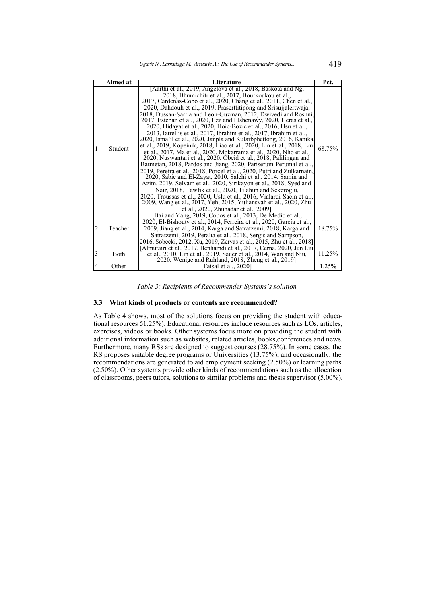|   | Aimed at<br>Literature |                                                                                                                                                                                                                                                                                                                                                                                                                                                                                                                                                                                                                                                                                                                                                                                                                                                                                                                                                                                                                                                                                                                                                                                                                                                                                                                                                                                    | Pct.   |
|---|------------------------|------------------------------------------------------------------------------------------------------------------------------------------------------------------------------------------------------------------------------------------------------------------------------------------------------------------------------------------------------------------------------------------------------------------------------------------------------------------------------------------------------------------------------------------------------------------------------------------------------------------------------------------------------------------------------------------------------------------------------------------------------------------------------------------------------------------------------------------------------------------------------------------------------------------------------------------------------------------------------------------------------------------------------------------------------------------------------------------------------------------------------------------------------------------------------------------------------------------------------------------------------------------------------------------------------------------------------------------------------------------------------------|--------|
| 1 | Student                | [Aarthi et al., 2019, Angelova et al., 2018, Baskota and Ng,<br>2018, Bhumichitr et al., 2017, Bourkoukou et al.,<br>2017, Cárdenas-Cobo et al., 2020, Chang et al., 2011, Chen et al.,<br>2020, Dahdouh et al., 2019, Praserttitipong and Srisujialertwaja,<br>2018, Dussan-Sarria and Leon-Guzman, 2012, Dwivedi and Roshni,<br>2017, Esteban et al., 2020, Ezz and Elshenawy, 2020, Heras et al.,<br>2020, Hidayat et al., 2020, Hoic-Bozic et al., 2016, Hsu et al.,<br>2013, Iatrellis et al., 2017, Ibrahim et al., 2017, Ibrahim et al.,<br>2020, Isma'il et al., 2020, Janpla and Kularbphettong, 2016, Kanika<br>et al., 2019, Kopeinik, 2018, Liao et al., 2020, Lin et al., 2018, Liu<br>et al., 2017, Ma et al., 2020, Mokarrama et al., 2020, Nho et al.,<br>2020, Nuswantari et al., 2020, Obeid et al., 2018, Palilingan and<br>Batmetan, 2018, Pardos and Jiang, 2020, Pariserum Perumal et al.,<br>2019, Pereira et al., 2018, Porcel et al., 2020, Putri and Zulkarnain,<br>2020, Sabic and El-Zayat, 2010, Salehi et al., 2014, Samin and<br>Azim, 2019, Selvam et al., 2020, Sirikayon et al., 2018, Syed and<br>Nair, 2018, Tawfik et al., 2020, Tilahun and Sekeroglu,<br>2020, Troussas et al., 2020, Uslu et al., 2016, Vialardi Sacín et al.,<br>2009, Wang et al., 2017, Yeh, 2015, Yuliansyah et al., 2020, Zhu<br>et al., 2020, Zhuhadar et al., 2009] | 68.75% |
| 2 | Teacher                | [Bai and Yang, 2019, Cobos et al., 2013, De Medio et al.,<br>2020, El-Bishouty et al., 2014, Ferreira et al., 2020, García et al.,<br>2009, Jiang et al., 2014, Karga and Satratzemi, 2018, Karga and<br>Satratzemi, 2019, Peralta et al., 2018, Sergis and Sampson,<br>2016, Sobecki, 2012, Xu, 2019, Zervas et al., 2015, Zhu et al., 2018]                                                                                                                                                                                                                                                                                                                                                                                                                                                                                                                                                                                                                                                                                                                                                                                                                                                                                                                                                                                                                                      | 18.75% |
| 3 | Both                   | [Almutairi et al., 2017, Benhamdi et al., 2017, Cerna, 2020, Jun Liu]<br>et al., 2010, Lin et al., 2019, Sauer et al., 2014, Wan and Niu,<br>2020, Wenige and Ruhland, 2018, Zheng et al., 2019]                                                                                                                                                                                                                                                                                                                                                                                                                                                                                                                                                                                                                                                                                                                                                                                                                                                                                                                                                                                                                                                                                                                                                                                   | 11.25% |
| 4 | Other                  | [Faisal et al., 2020]                                                                                                                                                                                                                                                                                                                                                                                                                                                                                                                                                                                                                                                                                                                                                                                                                                                                                                                                                                                                                                                                                                                                                                                                                                                                                                                                                              | 1.25%  |

*Table 3: Recipients of Recommender Systems's solution*

### **3.3 What kinds of products or contents are recommended?**

As Table [4](#page-6-0) shows, most of the solutions focus on providing the student with educational resources 51.25%). Educational resources include resources such as LOs, articles, exercises, videos or books. Other systems focus more on providing the student with additional information such as websites, related articles, books,conferences and news. Furthermore, many RSs are designed to suggest courses (28.75%). In some cases, the RS proposes suitable degree programs or Universities (13.75%), and occasionally, the recommendations are generated to aid employment seeking (2.50%) or learning paths (2.50%). Other systems provide other kinds of recommendations such as the allocation of classrooms, peers tutors, solutions to similar problems and thesis supervisor (5.00%).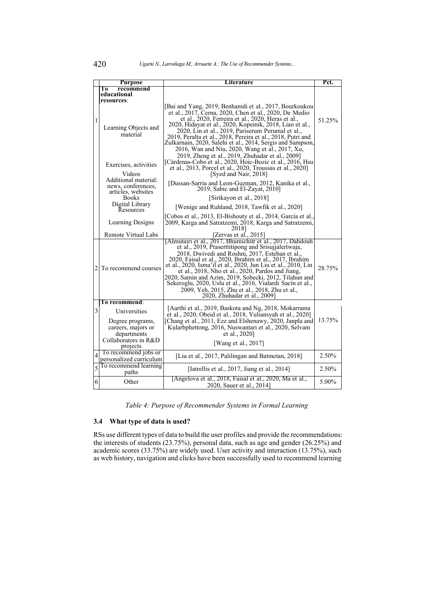<span id="page-6-0"></span>

|                | <b>Purpose</b>                                                                | Literature                                                                                                                                                                                                                                                                                                                                                                                                                                                                                                                                                                               | Pct.   |
|----------------|-------------------------------------------------------------------------------|------------------------------------------------------------------------------------------------------------------------------------------------------------------------------------------------------------------------------------------------------------------------------------------------------------------------------------------------------------------------------------------------------------------------------------------------------------------------------------------------------------------------------------------------------------------------------------------|--------|
|                | Тō<br>recommend                                                               |                                                                                                                                                                                                                                                                                                                                                                                                                                                                                                                                                                                          |        |
|                | educational                                                                   |                                                                                                                                                                                                                                                                                                                                                                                                                                                                                                                                                                                          |        |
|                | resources:                                                                    |                                                                                                                                                                                                                                                                                                                                                                                                                                                                                                                                                                                          |        |
| $\mathbf{1}$   | Learning Objects and<br>material<br>Exercises, activities                     | [Bai and Yang, 2019, Benhamdi et al., 2017, Bourkoukou<br>et al., 2017, Cerna, 2020, Chen et al., 2020, De Medio<br>et al., 2020, Ferreira et al., 2020, Heras et al.,<br>2020, Hidayat et al., 2020, Kopeinik, 2018, Liao et al.,<br>2020, Lin et al., 2019, Pariserum Perumal et al.,<br>2019, Peralta et al., 2018, Pereira et al., 2018, Putri and<br>Zulkarnain, 2020, Salehi et al., 2014, Sergis and Sampson,<br>2016, Wan and Niu, 2020, Wang et al., 2017, Xu,<br>2019, Zheng et al., 2019, Zhuhadar et al., 2009]<br>[Cárdenas-Cobo et al., 2020, Hoic-Bozic et al., 2016, Hsu | 51.25% |
|                |                                                                               | et al., 2013, Porcel et al., 2020, Troussas et al., 2020]                                                                                                                                                                                                                                                                                                                                                                                                                                                                                                                                |        |
|                | Videos<br>Additional material:<br>news, conferences,<br>articles, websites    | [Syed and Nair, 2018]<br>[Dussan-Sarria and Leon-Guzman, 2012, Kanika et al.,<br>2019, Sabic and El-Zayat, 2010]                                                                                                                                                                                                                                                                                                                                                                                                                                                                         |        |
|                | <b>Books</b>                                                                  | [Sirikayon et al., 2018]                                                                                                                                                                                                                                                                                                                                                                                                                                                                                                                                                                 |        |
|                | Digital Library<br>Resources                                                  | [Wenige and Ruhland, 2018, Tawfik et al., 2020]                                                                                                                                                                                                                                                                                                                                                                                                                                                                                                                                          |        |
|                | <b>Learning Designs</b>                                                       | [Cobos et al., 2013, El-Bishouty et al., 2014, García et al.,<br>2009, Karga and Satratzemi, 2018, Karga and Satratzemi,<br>20181                                                                                                                                                                                                                                                                                                                                                                                                                                                        |        |
|                | Remote Virtual Labs                                                           | [Zervas et al., 2015]                                                                                                                                                                                                                                                                                                                                                                                                                                                                                                                                                                    |        |
| $\overline{2}$ | To recommend courses                                                          | [Almutairi et al., 2017, Bhumichitr et al., 2017, Dahdouh<br>et al., 2019, Praserttitipong and Srisujialertwaja,<br>2018, Dwivedi and Roshni, 2017, Esteban et al.,<br>2020, Faisal et al., 2020, Ibrahim et al., 2017, Ibrahim<br>et al., 2020, Isma'il et al., 2020, Jun Liu et al., 2010, Lin<br>et al., 2018, Nho et al., 2020, Pardos and Jiang,<br>2020, Samin and Azim, 2019, Sobecki, 2012, Tilahun and Sekeroglu, 2020, Uslu et al., 2016, Vialardi Sacín et al.,<br>2009, Yeh, 2015, Zhu et al., 2018, Zhu et al.,<br>2020, Zhuhadar et al., 2009]                             | 28.75% |
|                | To recommend:                                                                 |                                                                                                                                                                                                                                                                                                                                                                                                                                                                                                                                                                                          |        |
| 3              | Universities                                                                  | [Aarthi et al., 2019, Baskota and Ng, 2018, Mokarrama<br>et al., 2020, Obeid et al., 2018, Yuliansyah et al., 2020]                                                                                                                                                                                                                                                                                                                                                                                                                                                                      |        |
|                | Degree programs,<br>careers, majors or<br>departments<br>Collaborators in R&D | [Chang et al., 2011, Ezz and Elshenawy, 2020, Janpla and<br>Kularbphettong, 2016, Nuswantari et al., 2020, Selvam<br>et al., 2020]                                                                                                                                                                                                                                                                                                                                                                                                                                                       | 13.75% |
|                | projects                                                                      | [Wang et al., 2017]                                                                                                                                                                                                                                                                                                                                                                                                                                                                                                                                                                      |        |
| 4              | To recommend jobs or<br>personalized curriculum                               | [Liu et al., 2017, Palilingan and Batmetan, 2018]                                                                                                                                                                                                                                                                                                                                                                                                                                                                                                                                        | 2.50%  |
| 5              | To recommend learning<br>paths                                                | [Iatrellis et al., 2017, Jiang et al., 2014]                                                                                                                                                                                                                                                                                                                                                                                                                                                                                                                                             | 2.50%  |
| 6              | Other                                                                         | [Angelova et al., 2018, Faisal et al., 2020, Ma et al.,<br>2020, Sauer et al., 2014]                                                                                                                                                                                                                                                                                                                                                                                                                                                                                                     | 5.00%  |

*Table 4: Purpose of Recommender Systems in Formal Learning*

# **3.4 What type of data is used?**

RSs use different types of data to build the user profiles and provide the recommendations: the interests of students (23.75%), personal data, such as age and gender (26.25%) and academic scores (33.75%) are widely used. User activity and interaction (13.75%), such as web history, navigation and clicks have been successfully used to recommend learning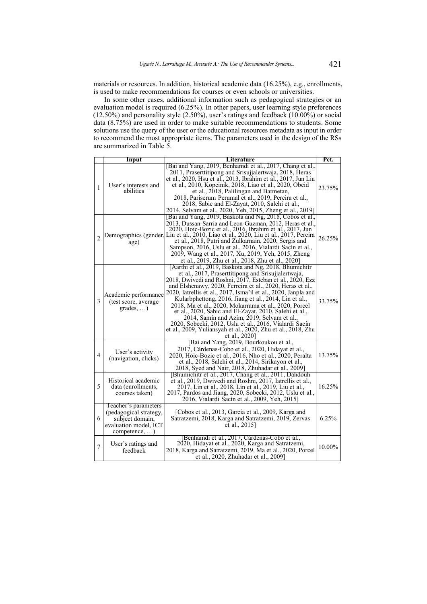materials or resources. In addition, historical academic data (16.25%), e.g., enrollments, is used to make recommendations for courses or even schools or universities.

In some other cases, additional information such as pedagogical strategies or an evaluation model is required (6.25%). In other papers, user learning style preferences (12.50%) and personality style (2.50%), user's ratings and feedback (10.00%) or social data (8.75%) are used in order to make suitable recommendations to students. Some solutions use the query of the user or the educational resources metadata as input in order to recommend the most appropriate items. The parameters used in the design of the RSs are summarized in Table [5.](#page-7-0)

<span id="page-7-0"></span>

|                | Input                                                                                                                 | <b>Literature</b>                                                                                                                                                                                                                                                                                                                                                                                                                                                                                                                                                                                                                                                              | Pct.   |
|----------------|-----------------------------------------------------------------------------------------------------------------------|--------------------------------------------------------------------------------------------------------------------------------------------------------------------------------------------------------------------------------------------------------------------------------------------------------------------------------------------------------------------------------------------------------------------------------------------------------------------------------------------------------------------------------------------------------------------------------------------------------------------------------------------------------------------------------|--------|
| 1              | User's interests and<br>abilities                                                                                     | [Bai and Yang, 2019, Benhamdi et al., 2017, Chang et al.,<br>2011, Praserttitipong and Srisujialertwaja, 2018, Heras<br>et al., 2020, Hsu et al., 2013, Ibrahim et al., 2017, Jun Liu<br>et al., 2010, Kopeinik, 2018, Liao et al., 2020, Obeid<br>et al., 2018, Palilingan and Batmetan,<br>2018, Pariserum Perumal et al., 2019, Pereira et al.,<br>2018, Sabic and El-Zayat, 2010, Salehi et al.,<br>2014, Selvam et al., 2020, Yeh, 2015, Zheng et al., 2019]                                                                                                                                                                                                              | 23.75% |
| $\mathfrak{D}$ | age)                                                                                                                  | [Bai and Yang, 2019, Baskota and Ng, 2018, Cobos et al.,<br>2013, Dussan-Sarria and Leon-Guzman, 2012, Heras et al.,<br>2020, Hoic-Bozic et al., 2016, Ibrahim et al., 2017, Jun<br>Demographics (gender, Liu et al., 2010, Liao et al., 2020, Liu et al., 2017, Pereira<br>et al., 2018, Putri and Zulkarnain, 2020, Sergis and<br>Sampson, 2016, Uslu et al., 2016, Vialardi Sacín et al.,<br>2009, Wang et al., 2017, Xu, 2019, Yeh, 2015, Zheng<br>et al., 2019, Zhu et al., 2018, Zhu et al., 2020]                                                                                                                                                                       | 26.25% |
| 3              | Academic performance<br>(test score, average)<br>$grades, \ldots)$                                                    | [Aarthi et al., 2019, Baskota and Ng, 2018, Bhumichitr<br>et al., 2017, Praserttitipong and Srisujjalertwaja,<br>2018, Dwivedi and Roshni, 2017, Esteban et al., 2020, Ezz<br>and Elshenawy, 2020, Ferreira et al., 2020, Heras et al.,<br>2020, Iatrellis et al., 2017, Isma'il et al., 2020, Janpla and<br>Kularbphettong, 2016, Jiang et al., 2014, Lin et al.,<br>2018, Ma et al., 2020, Mokarrama et al., 2020, Porcel<br>et al., 2020, Sabic and El-Zayat, 2010, Salehi et al.,<br>2014, Samin and Azim, 2019, Selvam et al.,<br>2020, Sobecki, 2012, Uslu et al., 2016, Vialardi Sacín<br>et al., 2009, Yuliansyah et al., 2020, Zhu et al., 2018, Zhu<br>et al., 2020] | 33.75% |
| 4              | User's activity<br>(navigation, clicks)                                                                               | [Bai and Yang, 2019, Bourkoukou et al.,<br>2017, Cárdenas-Cobo et al., 2020, Hidayat et al.,<br>2020, Hoic-Bozic et al., 2016, Nho et al., 2020, Peralta<br>et al., 2018, Salehi et al., 2014, Sirikayon et al.,<br>2018, Syed and Nair, 2018, Zhuhadar et al., 2009]                                                                                                                                                                                                                                                                                                                                                                                                          | 13.75% |
| 5              | Historical academic<br>data (enrollments,<br>courses taken)                                                           | [Bhumichitr et al., 2017, Chang et al., 2011, Dahdouh]<br>et al., 2019, Dwivedi and Roshni, 2017, Iatrellis et al.,<br>2017, Lin et al., 2018, Lin et al., 2019, Liu et al.,<br>2017, Pardos and Jiang, 2020, Sobecki, 2012, Uslu et al.,<br>2016, Vialardi Sacín et al., 2009, Yeh, 2015]                                                                                                                                                                                                                                                                                                                                                                                     | 16.25% |
| 6              | Teacher's parameters<br>(pedagogical strategy,<br>subject domain,<br>evaluation model, ICT<br>$\text{compare,} \dots$ | [Cobos et al., 2013, García et al., 2009, Karga and<br>Satratzemi, 2018, Karga and Satratzemi, 2019, Zervas<br>et al., 2015]                                                                                                                                                                                                                                                                                                                                                                                                                                                                                                                                                   | 6.25%  |
| $\overline{7}$ | User's ratings and<br>feedback                                                                                        | Benhamdi et al., 2017, Cárdenas-Cobo et al.,<br>2020, Hidayat et al., 2020, Karga and Satratzemi,<br>2018, Karga and Satratzemi, 2019, Ma et al., 2020, Porcel<br>et al., 2020, Zhuhadar et al., 2009]                                                                                                                                                                                                                                                                                                                                                                                                                                                                         | 10.00% |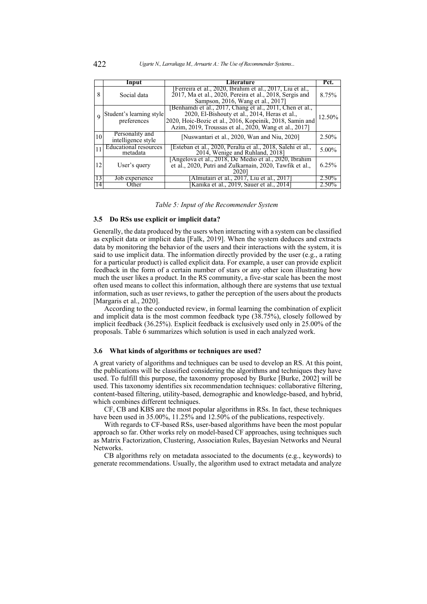|    | Input                                    | Literature                                                                                                                                                                                                                               | Pct.     |
|----|------------------------------------------|------------------------------------------------------------------------------------------------------------------------------------------------------------------------------------------------------------------------------------------|----------|
|    |                                          |                                                                                                                                                                                                                                          |          |
| 8  | Social data                              | [Ferreira et al., 2020, Ibrahim et al., 2017, Liu et al.,<br>2017, Ma et al., 2020, Pereira et al., 2018, Sergis and<br>Sampson, 2016, Wang et al., 2017]                                                                                | 8.75%    |
|    | Student's learning style<br>preferences  | [Benhamdi et al., 2017, Chang et al., 2011, Chen et al.,<br>2020, El-Bishouty et al., 2014, Heras et al.,<br>12.50%<br>2020, Hoic-Bozic et al., 2016, Kopeinik, 2018, Samin and<br>Azim, 2019, Troussas et al., 2020, Wang et al., 2017] |          |
| 10 | Personality and<br>intelligence style    | [Nuswantari et al., 2020, Wan and Niu, 2020]                                                                                                                                                                                             | $2.50\%$ |
|    | <b>Educational resources</b><br>metadata | [Esteban et al., 2020, Peralta et al., 2018, Salehi et al.,<br>2014, Wenige and Ruhland, 2018]                                                                                                                                           |          |
| 12 | User's query                             | [Angelova et al., 2018, De Medio et al., 2020, Ibrahim<br>et al., 2020, Putri and Zulkarnain, 2020, Tawfik et al.,<br><b>2020</b>                                                                                                        |          |
| 13 | Job experience                           | [Almutairi et al., 2017, Liu et al., 2017]                                                                                                                                                                                               | 2.50%    |
| 14 | Other                                    | [Kanika et al., 2019, Sauer et al., 2014]                                                                                                                                                                                                | 2.50%    |

|  | Table 5: Input of the Recommender System |  |
|--|------------------------------------------|--|
|  |                                          |  |

#### **3.5 Do RSs use explicit or implicit data?**

Generally, the data produced by the users when interacting with a system can be classified as explicit data or implicit data [\[Falk, 2019\]](#page-23-0). When the system deduces and extracts data by monitoring the behavior of the users and their interactions with the system, it is said to use implicit data. The information directly provided by the user (e.g., a rating for a particular product) is called explicit data. For example, a user can provide explicit feedback in the form of a certain number of stars or any other icon illustrating how much the user likes a product. In the RS community, a five-star scale has been the most often used means to collect this information, although there are systems that use textual information, such as user reviews, to gather the perception of the users about the products [\[Margaris et al., 2020\]](#page-25-12).

According to the conducted review, in formal learning the combination of explicit and implicit data is the most common feedback type (38.75%), closely followed by implicit feedback (36.25%). Explicit feedback is exclusively used only in 25.00% of the proposals. Table [6](#page-9-0) summarizes which solution is used in each analyzed work.

#### **3.6 What kinds of algorithms or techniques are used?**

A great variety of algorithms and techniques can be used to develop an RS. At this point, the publications will be classified considering the algorithms and techniques they have used. To fulfill this purpose, the taxonomy proposed by Burke [\[Burke, 2002\]](#page-22-13) will be used. This taxonomy identifies six recommendation techniques: collaborative filtering, content-based filtering, utility-based, demographic and knowledge-based, and hybrid, which combines different techniques.

CF, CB and KBS are the most popular algorithms in RSs. In fact, these techniques have been used in 35.00%, 11.25% and 12.50% of the publications, respectively.

With regards to CF-based RSs, user-based algorithms have been the most popular approach so far. Other works rely on model-based CF approaches, using techniques such as Matrix Factorization, Clustering, Association Rules, Bayesian Networks and Neural Networks.

CB algorithms rely on metadata associated to the documents (e.g., keywords) to generate recommendations. Usually, the algorithm used to extract metadata and analyze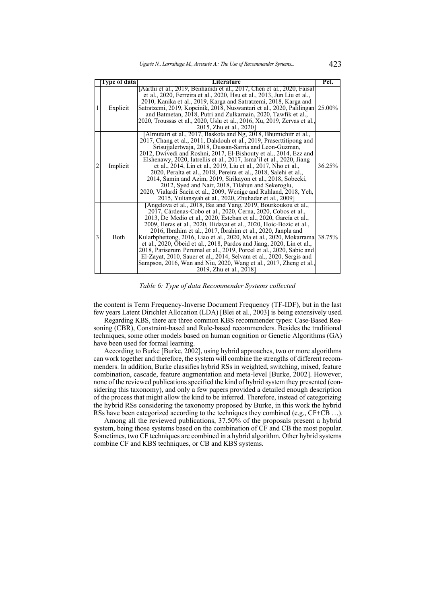<span id="page-9-0"></span>

|   | Type of data | Literature                                                                                                                                                                                                                                                                                                                                                                                                                                                                                                                                                                                                                                                                                                                                | Pct.   |
|---|--------------|-------------------------------------------------------------------------------------------------------------------------------------------------------------------------------------------------------------------------------------------------------------------------------------------------------------------------------------------------------------------------------------------------------------------------------------------------------------------------------------------------------------------------------------------------------------------------------------------------------------------------------------------------------------------------------------------------------------------------------------------|--------|
| 1 | Explicit     | [Aarthi et al., 2019, Benhamdi et al., 2017, Chen et al., 2020, Faisal<br>et al., 2020, Ferreira et al., 2020, Hsu et al., 2013, Jun Liu et al.,<br>2010, Kanika et al., 2019, Karga and Satratzemi, 2018, Karga and<br>Satratzemi, 2019, Kopeinik, 2018, Nuswantari et al., 2020, Palilingan<br>and Batmetan, 2018, Putri and Zulkarnain, 2020, Tawfik et al.,<br>2020, Troussas et al., 2020, Uslu et al., 2016, Xu, 2019, Zervas et al.,<br>2015, Zhu et al., 2020]                                                                                                                                                                                                                                                                    | 25.00% |
| 2 | Implicit     | [Almutairi et al., 2017, Baskota and Ng, 2018, Bhumichitr et al.,<br>2017, Chang et al., 2011, Dahdouh et al., 2019, Praserttitipong and<br>Srisujialertwaja, 2018, Dussan-Sarria and Leon-Guzman,<br>2012, Dwivedi and Roshni, 2017, El-Bishouty et al., 2014, Ezz and<br>Elshenawy, 2020, Iatrellis et al., 2017, Isma'il et al., 2020, Jiang<br>et al., 2014, Lin et al., 2019, Liu et al., 2017, Nho et al.,<br>2020, Peralta et al., 2018, Pereira et al., 2018, Salehi et al.,<br>2014, Samin and Azim, 2019, Sirikayon et al., 2018, Sobecki,<br>2012, Syed and Nair, 2018, Tilahun and Sekeroglu,<br>2020, Vialardi Sacín et al., 2009, Wenige and Ruhland, 2018, Yeh,<br>2015, Yuliansyah et al., 2020, Zhuhadar et al., 2009]   | 36.25% |
| 3 | Both         | [Angelova et al., 2018, Bai and Yang, 2019, Bourkoukou et al.,<br>2017, Cárdenas-Cobo et al., 2020, Cerna, 2020, Cobos et al.,<br>2013, De Medio et al., 2020, Esteban et al., 2020, García et al.,<br>2009, Heras et al., 2020, Hidayat et al., 2020, Hoic-Bozic et al.,<br>2016, Ibrahim et al., 2017, Ibrahim et al., 2020, Janpla and<br>Kularbphettong, 2016, Liao et al., 2020, Ma et al., 2020, Mokarrama<br>et al., 2020, Obeid et al., 2018, Pardos and Jiang, 2020, Lin et al.,<br>2018, Pariserum Perumal et al., 2019, Porcel et al., 2020, Sabic and<br>El-Zayat, 2010, Sauer et al., 2014, Selvam et al., 2020, Sergis and<br>Sampson, 2016, Wan and Niu, 2020, Wang et al., 2017, Zheng et al.,<br>2019, Zhu et al., 2018] | 38.75% |

*Table 6: Type of data Recommender Systems collected*

the content is Term Frequency-Inverse Document Frequency (TF-IDF), but in the last few years Latent Dirichlet Allocation (LDA) [\[Blei et al., 2003\]](#page-22-14) is being extensively used.

Regarding KBS, there are three common KBS recommender types: Case-Based Reasoning (CBR), Constraint-based and Rule-based recommenders. Besides the traditional techniques, some other models based on human cognition or Genetic Algorithms (GA) have been used for formal learning.

According to Burke [\[Burke, 2002\]](#page-22-13), using hybrid approaches, two or more algorithms can work together and therefore, the system will combine the strengths of different recommenders. In addition, Burke classifies hybrid RSs in weighted, switching, mixed, feature combination, cascade, feature augmentation and meta-level [\[Burke, 2002\]](#page-22-13). However, none of the reviewed publications specified the kind of hybrid system they presented (considering this taxonomy), and only a few papers provided a detailed enough description of the process that might allow the kind to be inferred. Therefore, instead of categorizing the hybrid RSs considering the taxonomy proposed by Burke, in this work the hybrid RSs have been categorized according to the techniques they combined (e.g., CF+CB …).

Among all the reviewed publications, 37.50% of the proposals present a hybrid system, being those systems based on the combination of CF and CB the most popular. Sometimes, two CF techniques are combined in a hybrid algorithm. Other hybrid systems combine CF and KBS techniques, or CB and KBS systems.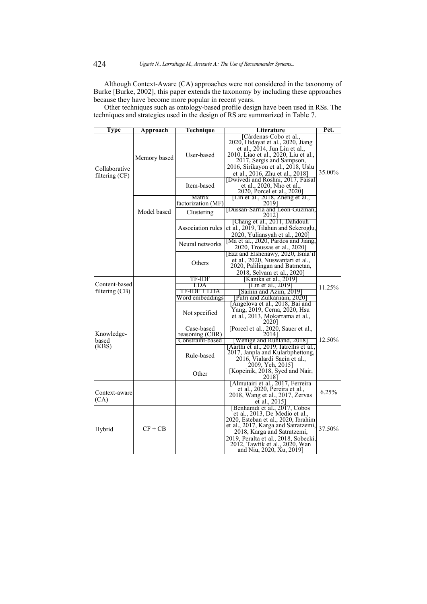Although Context-Aware (CA) approaches were not considered in the taxonomy of Burke [\[Burke, 2002\]](#page-22-13), this paper extends the taxonomy by including these approaches because they have become more popular in recent years.

Other techniques such as ontology-based profile design have been used in RSs. The techniques and strategies used in the design of RS are summarized in Table [7.](#page-10-0)

<span id="page-10-0"></span>

| Type                            | Approach     | Technique                      | Literature                                                                                                                                                                                                                                                                        | Pct.   |
|---------------------------------|--------------|--------------------------------|-----------------------------------------------------------------------------------------------------------------------------------------------------------------------------------------------------------------------------------------------------------------------------------|--------|
| Collaborative<br>filtering (CF) | Memory based | User-based                     | [Cárdenas-Cobo et al.,<br>2020, Hidayat et al., 2020, Jiang<br>et al., $2014$ , Jun Liu et al.,<br>2010, Liao et al., 2020, Liu et al.,<br>2017, Sergis and Sampson,<br>2016, Sirikayon et al., 2018, Uslu<br>et al., 2016, Zhu et al., 2018]                                     | 35.00% |
|                                 |              | Item-based                     | [Dwivedi and Roshni, 2017, Faisal<br>et al., 2020, Nho et al.<br>2020, Porcel et al., 2020]                                                                                                                                                                                       |        |
|                                 |              | Matrix<br>factorization (MF)   | [Lin et al., 2018, Zheng et al.,<br>2019]                                                                                                                                                                                                                                         |        |
|                                 | Model based  | Clustering                     | [Dussan-Sarria and Leon-Guzman,<br>20121                                                                                                                                                                                                                                          |        |
|                                 |              | Association rules              | [Chang et al., 2011, Dahdouh]<br>et al., 2019, Tilahun and Sekeroglu,<br>2020, Yuliansyah et al., 2020]                                                                                                                                                                           |        |
|                                 |              | Neural networks                | [Ma et al., 2020, Pardos and Jiang,<br>2020, Troussas et al., 2020]                                                                                                                                                                                                               |        |
|                                 |              | Others                         | [Ezz and Elshenawy, 2020, Isma'il]<br>et al., 2020, Nuswantari et al.,<br>2020, Palilingan and Batmetan,<br>2018, Selvam et al., 2020]                                                                                                                                            |        |
|                                 |              | TF-IDF                         | Kanika et al., 2019 <sup>-</sup>                                                                                                                                                                                                                                                  |        |
| Content-based                   |              | LDA                            | Lin et al., 2019]                                                                                                                                                                                                                                                                 | 11.25% |
| filtering $(CB)$                |              | TF-IDF + LDA                   | Samin and Azim, 2019                                                                                                                                                                                                                                                              |        |
|                                 |              | Word embeddings                | Putri and Zulkarnain, 2020                                                                                                                                                                                                                                                        |        |
|                                 |              | Not specified                  | Angelova et al., 2018, Bai and<br>Yang, 2019, Cerna, 2020, Hsu<br>et al., 2013, Mokarrama et al.,<br>2020]                                                                                                                                                                        |        |
|                                 |              | Case-based                     | [Porcel et al., 2020, Sauer et al.,                                                                                                                                                                                                                                               |        |
| Knowledge-                      |              | reasoning (CBR)                | 20141                                                                                                                                                                                                                                                                             |        |
| based<br>(KBS)                  |              | Constraint-based<br>Rule-based | [Wenige and Ruhland, 2018]<br>[Aarthi et al., 2019, Iatrellis et al.,<br>2017, Janpla and Kularbphettong,<br>2016, Vialardi Sacín et al.,<br>2009, Yeh, 2015]                                                                                                                     | 12.50% |
|                                 |              | Other                          | [Kopeinik, 2018, Syed and Nair,<br>2018]                                                                                                                                                                                                                                          |        |
| Context-aware<br>(CA)           |              |                                | [Almutairi et al., 2017, Ferreira]<br>et al., 2020, Pereira et al.,<br>2018, Wang et al., 2017, Zervas<br>et al., 2015]                                                                                                                                                           | 6.25%  |
| Hybrid                          | $CF + CB$    |                                | Benhamdi et al., 2017, Cobos<br>et al., 2013, De Medio et al.,<br>2020, Esteban et al., 2020, Ibrahim<br>et al., 2017, Karga and Satratzemi,<br>2018, Karga and Satratzemi,<br>2019, Peralta et al., 2018, Sobecki,<br>2012, Tawfik et al., 2020, Wan<br>and Niu, 2020, Xu, 2019] | 37.50% |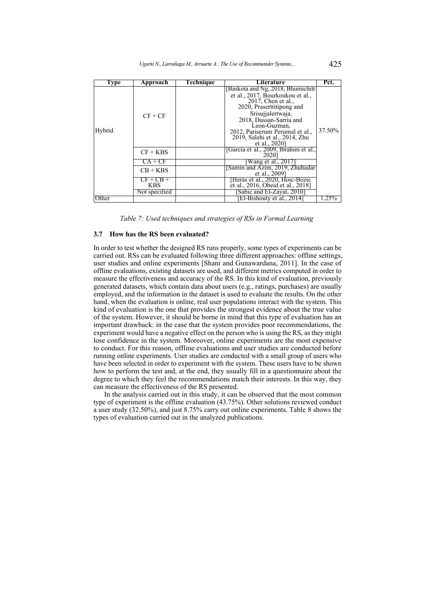| Type   | Approach                  | Technique | Literature                                                                                                                                                                                                                                                                       | Pct.    |
|--------|---------------------------|-----------|----------------------------------------------------------------------------------------------------------------------------------------------------------------------------------------------------------------------------------------------------------------------------------|---------|
| Hybrid | $CF + CF$                 |           | Baskota and Ng, 2018, Bhumichitr<br>et al., 2017, Bourkoukou et al.,<br>$2017$ , Chen et al.,<br>2020, Praserttitipong and<br>Srisujjalertwaja,<br>2018, Dussan-Sarria and<br>Leon-Guzman,<br>2012, Pariserum Perumal et al.,<br>2019, Salehi et al., 2014, Zhu<br>et al., 2020] | 37.50%  |
|        | $CF + KBS$                |           | [García et al., 2009, Ibrahim et al.,<br>2020]                                                                                                                                                                                                                                   |         |
|        | CA + CF                   |           | Wang et al., 2017]                                                                                                                                                                                                                                                               |         |
|        | $CB + KBS$                |           | Samin and Azim, 2019, Zhuhadar<br>et al., 2009]                                                                                                                                                                                                                                  |         |
|        | $CF + CB +$<br><b>KBS</b> |           | Heras et al., 2020, Hoic-Bozic<br>et al., 2016, Obeid et al., 2018]                                                                                                                                                                                                              |         |
|        | Not specified             |           | Sabic and El-Zavat, 2010                                                                                                                                                                                                                                                         |         |
| Other  |                           |           | El-Bishouty et al., 2014]                                                                                                                                                                                                                                                        | $.25\%$ |

*Table 7: Used techniques and strategies of RSs in Formal Learning*

### **3.7 How has the RS been evaluated?**

In order to test whether the designed RS runs properly, some types of experiments can be carried out. RSs can be evaluated following three different approaches: offline settings, user studies and online experiments [\[Shani and Gunawardana, 2011\]](#page-26-13). In the case of offline evaluations, existing datasets are used, and different metrics computed in order to measure the effectiveness and accuracy of the RS. In this kind of evaluation, previously generated datasets, which contain data about users (e.g., ratings, purchases) are usually employed, and the information in the dataset is used to evaluate the results. On the other hand, when the evaluation is online, real user populations interact with the system. This kind of evaluation is the one that provides the strongest evidence about the true value of the system. However, it should be borne in mind that this type of evaluation has an important drawback: in the case that the system provides poor recommendations, the experiment would have a negative effect on the person who is using the RS, as they might lose confidence in the system. Moreover, online experiments are the most expensive to conduct. For this reason, offline evaluations and user studies are conducted before running online experiments. User studies are conducted with a small group of users who have been selected in order to experiment with the system. These users have to be shown how to perform the test and, at the end, they usually fill in a questionnaire about the degree to which they feel the recommendations match their interests. In this way, they can measure the effectiveness of the RS presented.

<span id="page-11-0"></span>In the analysis carried out in this study, it can be observed that the most common type of experiment is the offline evaluation (43.75%). Other solutions reviewed conduct a user study (32.50%), and just 8.75% carry out online experiments. Table [8](#page-11-0) shows the types of evaluation carried out in the analyzed publications.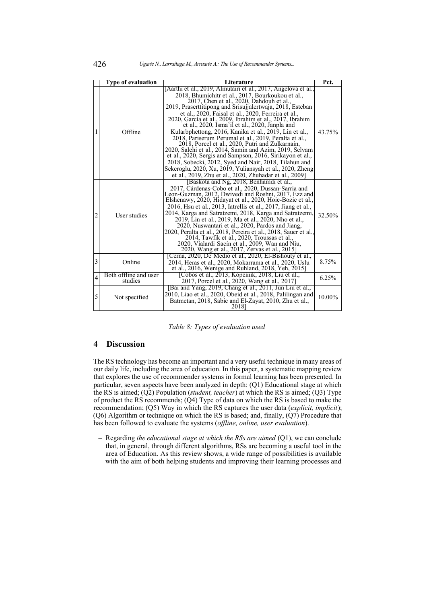|                | <b>Type of evaluation</b>        | Literature                                                                                                                                                                                                                                                                                                                                                                                                                                                                                                                                                                                                                                                                                                                                                                                                                                                                    | Pct.   |
|----------------|----------------------------------|-------------------------------------------------------------------------------------------------------------------------------------------------------------------------------------------------------------------------------------------------------------------------------------------------------------------------------------------------------------------------------------------------------------------------------------------------------------------------------------------------------------------------------------------------------------------------------------------------------------------------------------------------------------------------------------------------------------------------------------------------------------------------------------------------------------------------------------------------------------------------------|--------|
|                | Offline                          | [Aarthi et al., 2019, Almutairi et al., 2017, Angelova et al.,<br>2018, Bhumichitr et al., 2017, Bourkoukou et al., 2017, Chen et al., 2020, Dahdouh et al.,<br>2019, Praserttitipong and Srisujjalertwaja, 2018, Esteban<br>et al., 2020, Faisal et al., 2020, Ferreira et al.,<br>2020, García et al., 2009, Ibrahim et al., 2017, Ibrahim<br>et al., 2020, Isma'il et al., 2020, Janpla and<br>Kularbphettong, 2016, Kanika et al., 2019, Lin et al.,<br>2018, Pariserum Perumal et al., 2019, Peralta et al.,<br>2018, Porcel et al., 2020, Putri and Zulkarnain,<br>2020, Salehi et al., 2014, Samin and Azim, 2019, Selvam<br>et al., 2020, Sergis and Sampson, 2016, Sirikayon et al.,<br>2018, Sobecki, 2012, Syed and Nair, 2018, Tilahun and<br>Sekeroglu, 2020, Xu, 2019, Yuliansyah et al., 2020, Zheng<br>et al., 2019, Zhu et al., 2020, Zhuhadar et al., 2009] | 43.75% |
| $\overline{2}$ | User studies                     | [Baskota and Ng, 2018, Benhamdi et al.,<br>2017, Cárdenas-Cobo et al., 2020, Dussan-Sarria and<br>Leon-Guzman, 2012, Dwivedi and Roshni, 2017, Ezz and<br>Elshenawy, 2020, Hidayat et al., 2020, Hoic-Bozic et al.,<br>2016, Hsu et al., 2013, Iatrellis et al., 2017, Jiang et al.,<br>2014, Karga and Satratzemi, 2018, Karga and Satratzemi,<br>2019, Lin et al., 2019, Ma et al., 2020, Nho et al.,<br>2020, Nuswantari et al., 2020, Pardos and Jiang,<br>2020, Peralta et al., 2018, Pereira et al., 2018, Sauer et al.,<br>2014, Tawfik et al., 2020, Troussas et al.,<br>2020, Vialardi Sacín et al., 2009, Wan and Niu,<br>2020, Wang et al., 2017, Zervas et al., 2015]                                                                                                                                                                                             | 32.50% |
| 3              | Online                           | [Cerna, 2020, De Medio et al., 2020, El-Bishouty et al.,<br>2014, Heras et al., 2020, Mokarrama et al., 2020, Uslu<br>et al., $2016$ , Wenige and Ruhland, $2018$ , Yeh, $2015$ ]                                                                                                                                                                                                                                                                                                                                                                                                                                                                                                                                                                                                                                                                                             | 8.75%  |
| $\overline{4}$ | Both offline and user<br>studies | [Cobos et al., 2013, Kopeinik, 2018, Liu et al.,<br>2017, Porcel et al., 2020, Wang et al., 2017]                                                                                                                                                                                                                                                                                                                                                                                                                                                                                                                                                                                                                                                                                                                                                                             | 6.25%  |
| 5              | Not specified                    | [Bai and Yang, 2019, Chang et al., 2011, Jun Liu et al.,<br>2010, Liao et al., 2020, Obeid et al., 2018, Palilingan and<br>Batmetan, 2018, Sabic and El-Zayat, 2010, Zhu et al.,<br>2018]                                                                                                                                                                                                                                                                                                                                                                                                                                                                                                                                                                                                                                                                                     | 10.00% |

*Table 8: Types of evaluation used*

### **4 Discussion**

The RS technology has become an important and a very useful technique in many areas of our daily life, including the area of education. In this paper, a systematic mapping review that explores the use of recommender systems in formal learning has been presented. In particular, seven aspects have been analyzed in depth: (Q1) Educational stage at which the RS is aimed; (Q2) Population (*student, teacher*) at which the RS is aimed; (Q3) Type of product the RS recommends; (Q4) Type of data on which the RS is based to make the recommendation; (Q5) Way in which the RS captures the user data (*explicit, implicit*); (Q6) Algorithm or technique on which the RS is based; and, finally, (Q7) Procedure that has been followed to evaluate the systems (*offline, online, user evaluation*).

**–** Regarding *the educational stage at which the RSs are aimed* (Q1), we can conclude that, in general, through different algorithms, RSs are becoming a useful tool in the area of Education. As this review shows, a wide range of possibilities is available with the aim of both helping students and improving their learning processes and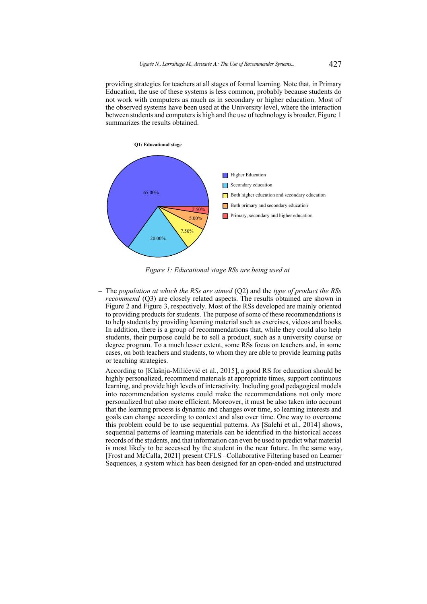providing strategies for teachers at all stages of formal learning. Note that, in Primary Education, the use of these systems is less common, probably because students do not work with computers as much as in secondary or higher education. Most of the observed systems have been used at the University level, where the interaction between students and computers is high and the use of technology is broader. Figure [1](#page-13-0) summarizes the results obtained.

<span id="page-13-0"></span>

*Figure 1: Educational stage RSs are being used at*

**–** The *population at which the RSs are aimed* (Q2) and the *type of product the RSs recommend* (Q3) are closely related aspects. The results obtained are shown in Figure [2](#page-14-0) and Figure [3,](#page-14-1) respectively. Most of the RSs developed are mainly oriented to providing products for students. The purpose of some of these recommendations is to help students by providing learning material such as exercises, videos and books. In addition, there is a group of recommendations that, while they could also help students, their purpose could be to sell a product, such as a university course or degree program. To a much lesser extent, some RSs focus on teachers and, in some cases, on both teachers and students, to whom they are able to provide learning paths or teaching strategies.

According to [\[Klašnja-Milićević et al., 2015\]](#page-24-13), a good RS for education should be highly personalized, recommend materials at appropriate times, support continuous learning, and provide high levels of interactivity. Including good pedagogical models into recommendation systems could make the recommendations not only more personalized but also more efficient. Moreover, it must be also taken into account that the learning process is dynamic and changes over time, so learning interests and goals can change according to context and also over time. One way to overcome this problem could be to use sequential patterns. As [\[Salehi et al., 2014\]](#page-26-6) shows, sequential patterns of learning materials can be identified in the historical access records of the students, and that information can even be used to predict what material is most likely to be accessed by the student in the near future. In the same way, [\[Frost and McCalla, 2021\]](#page-23-12) present CFLS –Collaborative Filtering based on Learner Sequences, a system which has been designed for an open-ended and unstructured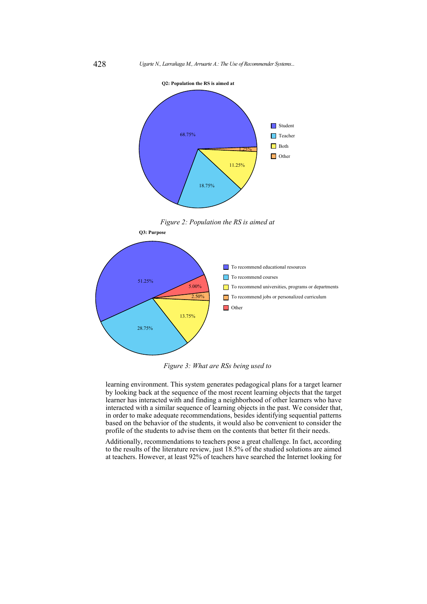<span id="page-14-0"></span>



<span id="page-14-1"></span>

*Figure 3: What are RSs being used to*

learning environment. This system generates pedagogical plans for a target learner by looking back at the sequence of the most recent learning objects that the target learner has interacted with and finding a neighborhood of other learners who have interacted with a similar sequence of learning objects in the past. We consider that, in order to make adequate recommendations, besides identifying sequential patterns based on the behavior of the students, it would also be convenient to consider the profile of the students to advise them on the contents that better fit their needs.

Additionally, recommendations to teachers pose a great challenge. In fact, according to the results of the literature review, just 18.5% of the studied solutions are aimed at teachers. However, at least 92% of teachers have searched the Internet looking for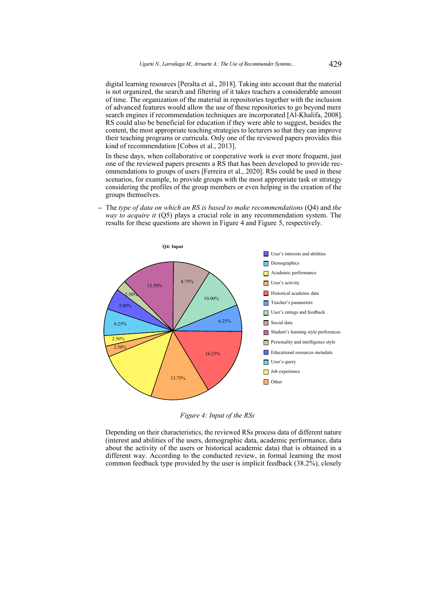digital learning resources [\[Peralta et al., 2018\]](#page-25-11). Taking into account that the material is not organized, the search and filtering of it takes teachers a considerable amount of time. The organization of the material in repositories together with the inclusion of advanced features would allow the use of these repositories to go beyond mere search engines if recommendation techniques are incorporated [\[Al-Khalifa, 2008\]](#page-21-5). RS could also be beneficial for education if they were able to suggest, besides the content, the most appropriate teaching strategies to lecturers so that they can improve their teaching programs or curricula. Only one of the reviewed papers provides this kind of recommendation [\[Cobos et al., 2013\]](#page-22-6).

In these days, when collaborative or cooperative work is ever more frequent, just one of the reviewed papers presents a RS that has been developed to provide recommendations to groups of users [\[Ferreira et al., 2020\]](#page-23-3). RSs could be used in these scenarios, for example, to provide groups with the most appropriate task or strategy considering the profiles of the group members or even helping in the creation of the groups themselves.

**–** The *type of data on which an RS is based to make recommendations* (Q4) and *the way to acquire it* (Q5) plays a crucial role in any recommendation system. The results for these questions are shown in Figure [4](#page-15-0) and Figure [5,](#page-16-0) respectively.

<span id="page-15-0"></span>

*Figure 4: Input of the RSs*

Depending on their characteristics, the reviewed RSs process data of different nature (interest and abilities of the users, demographic data, academic performance, data about the activity of the users or historical academic data) that is obtained in a different way. According to the conducted review, in formal learning the most common feedback type provided by the user is implicit feedback (38.2%), closely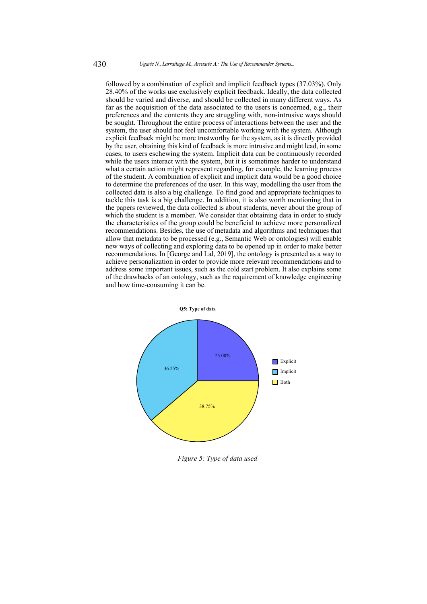followed by a combination of explicit and implicit feedback types (37.03%). Only 28.40% of the works use exclusively explicit feedback. Ideally, the data collected should be varied and diverse, and should be collected in many different ways. As far as the acquisition of the data associated to the users is concerned, e.g., their preferences and the contents they are struggling with, non-intrusive ways should be sought. Throughout the entire process of interactions between the user and the system, the user should not feel uncomfortable working with the system. Although explicit feedback might be more trustworthy for the system, as it is directly provided by the user, obtaining this kind of feedback is more intrusive and might lead, in some cases, to users eschewing the system. Implicit data can be continuously recorded while the users interact with the system, but it is sometimes harder to understand what a certain action might represent regarding, for example, the learning process of the student. A combination of explicit and implicit data would be a good choice to determine the preferences of the user. In this way, modelling the user from the collected data is also a big challenge. To find good and appropriate techniques to tackle this task is a big challenge. In addition, it is also worth mentioning that in the papers reviewed, the data collected is about students, never about the group of which the student is a member. We consider that obtaining data in order to study the characteristics of the group could be beneficial to achieve more personalized recommendations. Besides, the use of metadata and algorithms and techniques that allow that metadata to be processed (e.g., Semantic Web or ontologies) will enable new ways of collecting and exploring data to be opened up in order to make better recommendations. In [\[George and Lal, 2019\]](#page-23-13), the ontology is presented as a way to achieve personalization in order to provide more relevant recommendations and to address some important issues, such as the cold start problem. It also explains some of the drawbacks of an ontology, such as the requirement of knowledge engineering and how time-consuming it can be.

<span id="page-16-0"></span>

*Figure 5: Type of data used*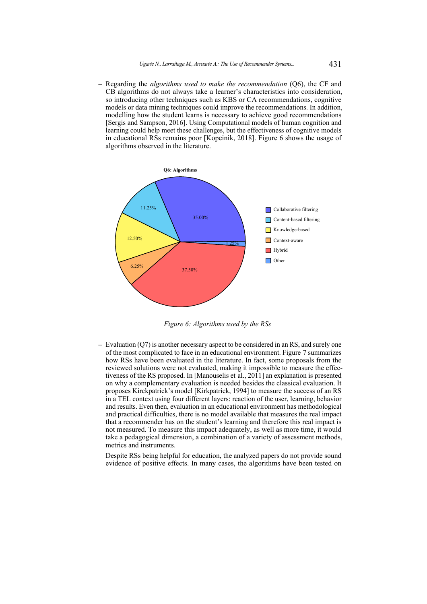**–** Regarding the *algorithms used to make the recommendation* (Q6), the CF and CB algorithms do not always take a learner's characteristics into consideration, so introducing other techniques such as KBS or CA recommendations, cognitive models or data mining techniques could improve the recommendations. In addition, modelling how the student learns is necessary to achieve good recommendations [\[Sergis and Sampson, 2016\]](#page-26-12). Using Computational models of human cognition and learning could help meet these challenges, but the effectiveness of cognitive models in educational RSs remains poor [\[Kopeinik, 2018\]](#page-24-5). Figure [6](#page-17-0) shows the usage of algorithms observed in the literature.

<span id="page-17-0"></span>

*Figure 6: Algorithms used by the RSs*

**–** Evaluation (Q7) is another necessary aspect to be considered in an RS, and surely one of the most complicated to face in an educational environment. Figure [7](#page-18-0) summarizes how RSs have been evaluated in the literature. In fact, some proposals from the reviewed solutions were not evaluated, making it impossible to measure the effectiveness of the RS proposed. In [\[Manouselis et al., 2011\]](#page-25-13) an explanation is presented on why a complementary evaluation is needed besides the classical evaluation. It proposes Kirckpatrick's model [\[Kirkpatrick, 1994\]](#page-24-14) to measure the success of an RS in a TEL context using four different layers: reaction of the user, learning, behavior and results. Even then, evaluation in an educational environment has methodological and practical difficulties, there is no model available that measures the real impact that a recommender has on the student's learning and therefore this real impact is not measured. To measure this impact adequately, as well as more time, it would take a pedagogical dimension, a combination of a variety of assessment methods, metrics and instruments.

Despite RSs being helpful for education, the analyzed papers do not provide sound evidence of positive effects. In many cases, the algorithms have been tested on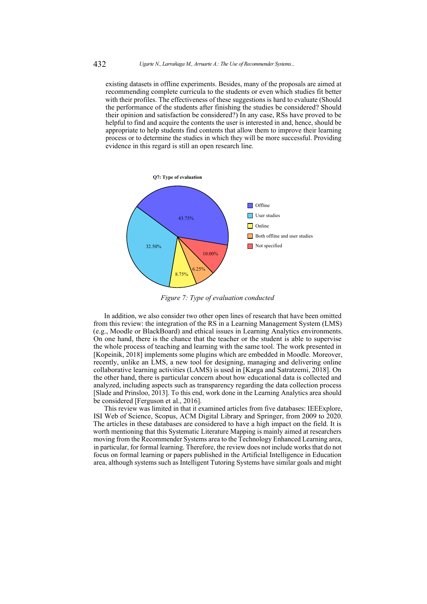existing datasets in offline experiments. Besides, many of the proposals are aimed at recommending complete curricula to the students or even which studies fit better with their profiles. The effectiveness of these suggestions is hard to evaluate (Should the performance of the students after finishing the studies be considered? Should their opinion and satisfaction be considered?) In any case, RSs have proved to be helpful to find and acquire the contents the user is interested in and, hence, should be appropriate to help students find contents that allow them to improve their learning process or to determine the studies in which they will be more successful. Providing evidence in this regard is still an open research line.

<span id="page-18-0"></span>

*Figure 7: Type of evaluation conducted*

In addition, we also consider two other open lines of research that have been omitted from this review: the integration of the RS in a Learning Management System (LMS) (e.g., Moodle or BlackBoard) and ethical issues in Learning Analytics environments. On one hand, there is the chance that the teacher or the student is able to supervise the whole process of teaching and learning with the same tool. The work presented in [\[Kopeinik, 2018\]](#page-24-5) implements some plugins which are embedded in Moodle. Moreover, recently, unlike an LMS, a new tool for designing, managing and delivering online collaborative learning activities (LAMS) is used in [\[Karga and Satratzemi, 2018\]](#page-24-11). On the other hand, there is particular concern about how educational data is collected and analyzed, including aspects such as transparency regarding the data collection process [\[Slade and Prinsloo, 2013\]](#page-26-14). To this end, work done in the Learning Analytics area should be considered [\[Ferguson et al., 2016\]](#page-23-14).

This review was limited in that it examined articles from five databases: IEEExplore, ISI Web of Science, Scopus, ACM Digital Library and Springer, from 2009 to 2020. The articles in these databases are considered to have a high impact on the field. It is worth mentioning that this Systematic Literature Mapping is mainly aimed at researchers moving from the Recommender Systems area to the Technology Enhanced Learning area, in particular, for formal learning. Therefore, the review does not include works that do not focus on formal learning or papers published in the Artificial Intelligence in Education area, although systems such as Intelligent Tutoring Systems have similar goals and might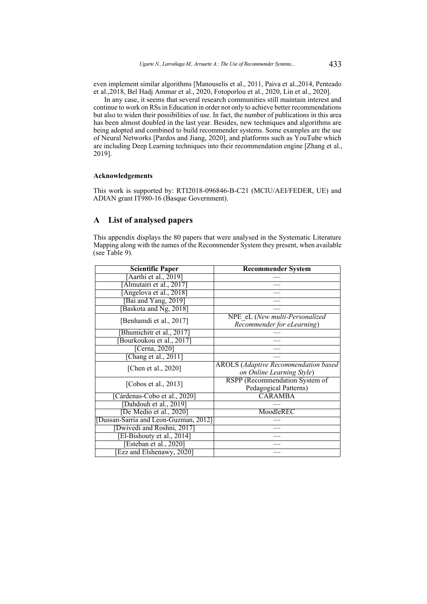even implement similar algorithms [\[Manouselis et al., 2011,](#page-25-13) [Paiva et al.,2014,](#page-25-14) [Penteado](#page-25-15) [et al.,2018,](#page-25-15) [Bel Hadj Ammar et al., 2020,](#page-22-15) [Fotoporlou et al., 2020,](#page-23-15) [Lin et al., 2020\]](#page-24-15).

In any case, it seems that several research communities still maintain interest and continue to work on RSs in Education in order not only to achieve better recommendations but also to widen their possibilities of use. In fact, the number of publications in this area has been almost doubled in the last year. Besides, new techniques and algorithms are being adopted and combined to build recommender systems. Some examples are the use of Neural Networks [\[Pardos and Jiang, 2020\]](#page-25-5), and platforms such as YouTube which are including Deep Learning techniques into their recommendation engine [\[Zhang et al.,](#page-27-16) [2019\]](#page-27-16).

### **Acknowledgements**

This work is supported by: RTI2018-096846-B-C21 (MCIU/AEI/FEDER, UE) and ADIAN grant IT980-16 (Basque Government).

# **A List of analysed papers**

This appendix displays the 80 papers that were analysed in the Systematic Literature Mapping along with the names of the Recommender System they present, when available (see Table [9\)](#page-19-0).

<span id="page-19-0"></span>

| <b>Scientific Paper</b>              | <b>Recommender System</b>                                                 |
|--------------------------------------|---------------------------------------------------------------------------|
| Aarthi et al., 2019]                 |                                                                           |
| Almutairi et al., 2017]              |                                                                           |
| Angelova et al., 2018]               |                                                                           |
| [Bai and Yang, 2019]                 |                                                                           |
| Baskota and Ng, 2018]                |                                                                           |
| [Benhamdi et al., 2017]              | NPE eL (New multi-Personalized<br>Recommender for eLearning)              |
| [Bhumichitr et al., 2017]            |                                                                           |
| Bourkoukou et al., 2017]             |                                                                           |
| [Cerna, 2020]                        |                                                                           |
| [Chang et al., 2011]                 |                                                                           |
| [Chen et al., 2020]                  | <b>AROLS</b> (Adaptive Recommendation based)<br>on Online Learning Style) |
| [Cobos et al., 2013]                 | RSPP (Recommendation System of<br>Pedagogical Patterns)                   |
| [Cárdenas-Cobo et al., 2020]         | <b>CARAMBA</b>                                                            |
| [Dahdouh et al., 2019]               |                                                                           |
| [De Medio et al., 2020]              | MoodleREC                                                                 |
| Dussan-Sarria and Leon-Guzman, 2012] |                                                                           |
| [Dwivedi and Roshni, 2017]           |                                                                           |
| [El-Bishouty et al., 2014]           |                                                                           |
| [Esteban et al., 2020]               |                                                                           |
| Ezz and Elshenawy, 2020]             |                                                                           |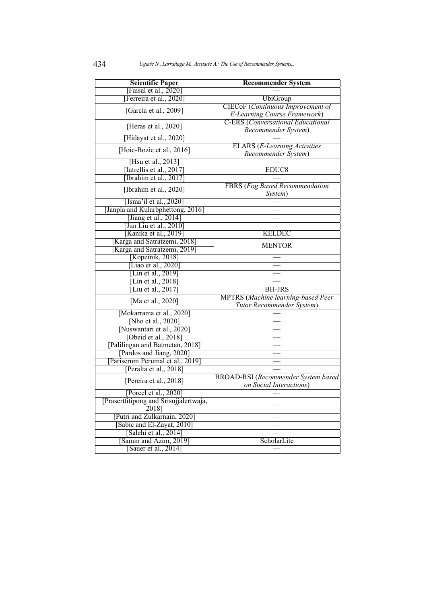| <b>Scientific Paper</b>                                                   | <b>Recommender System</b>                   |
|---------------------------------------------------------------------------|---------------------------------------------|
| [Faisal et al., 2020]                                                     |                                             |
| [Ferreira et al., 2020]                                                   | <b>UbiGroup</b>                             |
| [García et al., 2009]                                                     | CIECoF (Continuous Improvement of           |
|                                                                           | E-Learning Course Framework)                |
| [Heras et al., $2020$ ]                                                   | <b>C-ERS</b> (Conversational Educational    |
|                                                                           | Recommender System)                         |
| [Hidayat et al., 2020]                                                    |                                             |
| [Hoic-Bozic et al., 2016]                                                 | <b>ELARS</b> ( <i>E-Learning Activities</i> |
|                                                                           | Recommender System)                         |
| [Hsu et al., 2013]                                                        |                                             |
| [Iatrellis et al., 2017]                                                  | EDUC <sub>8</sub>                           |
| [Ibrahim et al., 2017]                                                    |                                             |
| [Ibrahim et al., 2020]                                                    | <b>FBRS</b> (Fog Based Recommendation       |
|                                                                           | System)                                     |
| [Isma'il et al., $2020$ ]                                                 |                                             |
| [Janpla and Kularbphettong, 2016]                                         |                                             |
| [Jiang et al., 2014]<br>$\overline{[$ Jun Liu et al., 2010 $\overline{]}$ |                                             |
| [Kanika et al., 2019]                                                     | <b>KELDEC</b>                               |
| [Karga and Satratzemi, 2018]                                              |                                             |
| [Karga and Satratzemi, 2019]                                              | <b>MENTOR</b>                               |
| [Kopeinik, 2018]                                                          |                                             |
| [Liao et al., 2020]                                                       |                                             |
| [Lin et al., $2019$ ]                                                     |                                             |
| [Lin et al., $2018$ ]                                                     |                                             |
| [Liu et al., $2017$ ]                                                     | <b>BH-JRS</b>                               |
| [Ma et al., 2020]                                                         | <b>MPTRS</b> (Machine learning-based Peer   |
|                                                                           | Tutor Recommender System)                   |
| [Mokarrama et al., 2020]                                                  |                                             |
| [Nho et al., 2020]                                                        |                                             |
| [Nuswantari et al., 2020]                                                 |                                             |
| [Obeid et al., 2018]                                                      |                                             |
| [Palilingan and Batmetan, 2018]                                           |                                             |
| [Pardos and Jiang, 2020]                                                  |                                             |
| [Pariserum Perumal et al., 2019]                                          |                                             |
| [Peralta et al., 2018]                                                    |                                             |
| [Pereira et al., 2018]                                                    | <b>BROAD-RSI</b> (Recommender System based) |
|                                                                           | on Social Interactions)                     |
| [Porcel et al., 2020]                                                     |                                             |
| [Praserttitipong and Srisujjalertwaja,                                    |                                             |
| 2018]                                                                     |                                             |
| [Putri and Zulkarnain, 2020]                                              |                                             |
| [Sabic and El-Zayat, 2010]                                                |                                             |
| [Salehi et al., 2014]                                                     |                                             |
| [Samin and Azim, 2019]                                                    | ScholarLite                                 |
| Sauer et al., 2014]                                                       |                                             |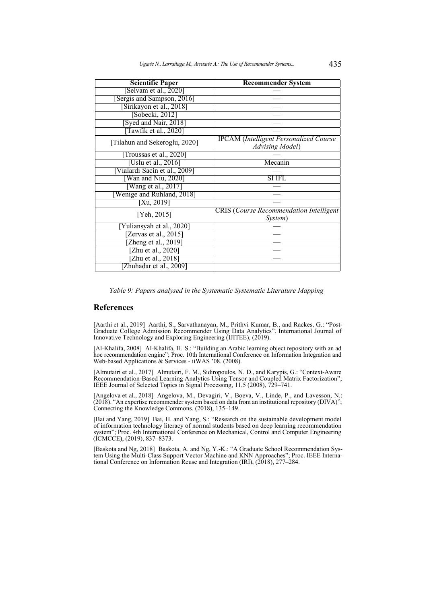| <b>Scientific Paper</b>       | <b>Recommender System</b>                      |
|-------------------------------|------------------------------------------------|
| [Selvam et al., 2020]         |                                                |
| [Sergis and Sampson, 2016]    |                                                |
| [Sirikayon et al., 2018]      |                                                |
| [Sobecki, 2012]               |                                                |
| [Syed and Nair, 2018]         |                                                |
| Tawfik et al., 2020]          |                                                |
| [Tilahun and Sekeroglu, 2020] | <b>IPCAM</b> (Intelligent Personalized Course  |
|                               | Advising Model)                                |
| [Troussas et al., 2020]       |                                                |
| [Uslu et al., 2016]           | Mecanin                                        |
| [Vialardi Sacín et al., 2009] |                                                |
| [Wan and Niu, 2020]           | <b>SI IFL</b>                                  |
| Wang et al., 2017]            |                                                |
| [Wenige and Ruhland, 2018]    |                                                |
| $\sqrt{Xu, 2019}$             |                                                |
| [Yeh, 2015]                   | <b>CRIS</b> (Course Recommendation Intelligent |
|                               | System)                                        |
| Yuliansyah et al., 2020]      |                                                |
| [Zervas et al., 2015]         |                                                |
| [Zheng et al., 2019]          |                                                |
| [Zhu et al., 2020]            |                                                |
| [Zhu et al., 2018]            |                                                |
| Zhuhadar et al., 2009]        |                                                |

*Table 9: Papers analysed in the Systematic Systematic Literature Mapping*

# **References**

<span id="page-21-2"></span>[Aarthi et al., 2019] Aarthi, S., Sarvathanayan, M., Prithvi Kumar, B., and Rackes, G.: "Post-Graduate College Admission Recommender Using Data Analytics". International Journal of Innovative Technology and Exploring Engineering (IJITEE), (2019).

<span id="page-21-5"></span>[Al-Khalifa, 2008] Al-Khalifa, H. S.: "Building an Arabic learning object repository with an ad hoc recommendation engine"; Proc. 10th International Conference on Information Integration and Web-based Applications & Services - iiWAS '08. (2008).

<span id="page-21-0"></span>[Almutairi et al., 2017] Almutairi, F. M., Sidiropoulos, N. D., and Karypis, G.: "Context-Aware Recommendation-Based Learning Analytics Using Tensor and Coupled Matrix Factorization"; IEEE Journal of Selected Topics in Signal Processing, 11,5 (2008), 729–741.

<span id="page-21-1"></span>[Angelova et al., 2018] Angelova, M., Devagiri, V., Boeva, V., Linde, P., and Lavesson, N.: (2018). "An expertise recommender system based on data from an institutional repository (DIVA)"; Connecting the Knowledge Commons. (2018), 135–149.

<span id="page-21-4"></span>[Bai and Yang, 2019] Bai, H. and Yang, S.: "Research on the sustainable development model of information technology literacy of normal students based on deep learning recommendation system"; Proc. 4th International Conference on Mechanical, Control and Computer Engineering (ICMCCE), (2019), 837–8373.

<span id="page-21-3"></span>[Baskota and Ng, 2018] Baskota, A. and Ng, Y.-K.: "A Graduate School Recommendation System Using the Multi-Class Support Vector Machine and KNN Approaches"; Proc. IEEE International Conference on Information Reuse and Integration (IRI), (2018), 277–284.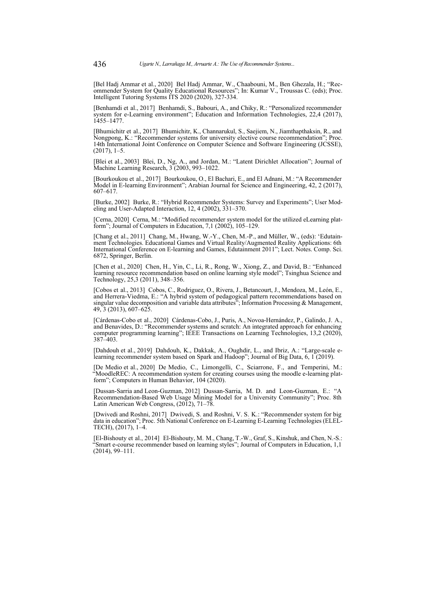<span id="page-22-15"></span>[Bel Hadj Ammar et al., 2020] Bel Hadj Ammar, W., Chaabouni, M., Ben Ghezala, H.; "Recommender System for Quality Educational Resources"; In: Kumar V., Troussas C. (eds); Proc. Intelligent Tutoring Systems ITS 2020 (2020), 327-334.

<span id="page-22-0"></span>[Benhamdi et al., 2017] Benhamdi, S., Babouri, A., and Chiky, R.: "Personalized recommender system for e-Learning environment"; Education and Information Technologies, 22,4 (2017), 1455–1477.

<span id="page-22-1"></span>[Bhumichitr et al., 2017] Bhumichitr, K., Channarukul, S., Saejiem, N., Jiamthapthaksin, R., and Nongpong, K.: "Recommender systems for university elective course recommendation"; Proc. 14th International Joint Conference on Computer Science and Software Engineering (JCSSE), (2017), 1–5.

<span id="page-22-14"></span>[Blei et al., 2003] Blei, D., Ng, A., and Jordan, M.: "Latent Dirichlet Allocation"; Journal of Machine Learning Research, 3 (2003, 993-1022.

<span id="page-22-2"></span>[Bourkoukou et al., 2017] Bourkoukou, O., El Bachari, E., and El Adnani, M.: "A Recommender Model in E-learning Environment"; Arabian Journal for Science and Engineering, 42, 2 (2017), 607–617.

<span id="page-22-13"></span>[Burke, 2002] Burke, R.: "Hybrid Recommender Systems: Survey and Experiments"; User Modeling and User-Adapted Interaction, 12, 4 (2002), 331–370.

<span id="page-22-4"></span>[Cerna, 2020] Cerna, M.: "Modified recommender system model for the utilized eLearning platform"; Journal of Computers in Education, 7,1 (2002), 105–129.

<span id="page-22-11"></span>[Chang et al., 2011] Chang, M., Hwang, W.-Y., Chen, M.-P., and Müller, W., (eds): 'Edutainment Technologies. Educational Games and Virtual Reality/Augmented Reality Applications: 6th International Conference on E-learning and Games, Edutainment 2011"; Lect. Notes. Comp. Sci. 6872, Springer, Berlin.

<span id="page-22-5"></span>[Chen et al., 2020] Chen, H., Yin, C., Li, R., Rong, W., Xiong, Z., and David, B.: "Enhanced learning resource recommendation based on online learning style model"; Tsinghua Science and Technology, 25,3 (2011), 348–356.

<span id="page-22-6"></span>[Cobos et al., 2013] Cobos, C., Rodriguez, O., Rivera, J., Betancourt, J., Mendoza, M., León, E., and Herrera-Viedma, E.: "A hybrid system of pedagogical pattern recommendations based on singular value decomposition and variable data attributes"; Information Processing & Management, 49, 3 (2013), 607–625.

<span id="page-22-3"></span>[Cárdenas-Cobo et al., 2020] Cárdenas-Cobo, J., Puris, A., Novoa-Hernández, P., Galindo, J. A., and Benavides, D.: "Recommender systems and scratch: An integrated approach for enhancing computer programming learning"; IEEE Transactions on Learning Technologies, 13,2 (2020), 387–403.

<span id="page-22-7"></span>[Dahdouh et al., 2019] Dahdouh, K., Dakkak, A., Oughdir, L., and Ibriz, A.: "Large-scale elearning recommender system based on Spark and Hadoop"; Journal of Big Data, 6, 1 (2019).

<span id="page-22-8"></span>[De Medio et al., 2020] De Medio, C., Limongelli, C., Sciarrone, F., and Temperini, M.: "MoodleREC: A recommendation system for creating courses using the moodle e-learning platform"; Computers in Human Behavior, 104 (2020).

<span id="page-22-9"></span>[Dussan-Sarria and Leon-Guzman, 2012] Dussan-Sarria, M. D. and Leon-Guzman, E.: "A Recommendation-Based Web Usage Mining Model for a University Community"; Proc. 8th Latin American Web Congress, (2012), 71–78.

<span id="page-22-12"></span>[Dwivedi and Roshni, 2017] Dwivedi, S. and Roshni, V. S. K.: "Recommender system for big data in education"; Proc. 5th National Conference on E-Learning E-Learning Technologies (ELEL-TECH), (2017), 1–4.

<span id="page-22-10"></span>[El-Bishouty et al., 2014] El-Bishouty, M. M., Chang, T.-W., Graf, S., Kinshuk, and Chen, N.-S.: "Smart e-course recommender based on learning styles"; Journal of Computers in Education, 1,1 (2014), 99–111.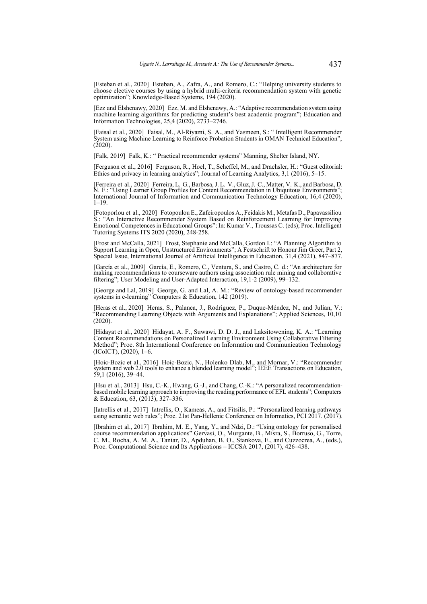<span id="page-23-1"></span>[Esteban et al., 2020] Esteban, A., Zafra, A., and Romero, C.: "Helping university students to choose elective courses by using a hybrid multi-criteria recommendation system with genetic optimization"; Knowledge-Based Systems, 194 (2020).

<span id="page-23-7"></span>[Ezz and Elshenawy, 2020] Ezz, M. and Elshenawy, A.: "Adaptive recommendation system using machine learning algorithms for predicting student's best academic program"; Education and Information Technologies, 25,4 (2020), 2733–2746.

<span id="page-23-2"></span>[Faisal et al., 2020] Faisal, M., Al-Riyami, S. A., and Yasmeen, S.: " Intelligent Recommender System using Machine Learning to Reinforce Probation Students in OMAN Technical Education";  $(2020)$ .

<span id="page-23-0"></span>[Falk, 2019] Falk, K.: " Practical recommender systems" Manning, Shelter Island, NY.

<span id="page-23-14"></span>[Ferguson et al., 2016] Ferguson, R., Hoel, T., Scheffel, M., and Drachsler, H.: "Guest editorial: Ethics and privacy in learning analytics"; Journal of Learning Analytics, 3,1 (2016), 5–15.

<span id="page-23-3"></span>[Ferreira et al., 2020] Ferreira, L. G., Barbosa, J. L. V., Gluz, J. C., Matter, V. K., and Barbosa, D. N. F.: "Using Learner Group Profiles for Content Recommendation in Ubiquitous Environments"; International Journal of Information and Communication Technology Education, 16,4 (2020),  $1 - 19$ 

<span id="page-23-15"></span>[Fotoporlou et al., 2020] Fotopoulou E., Zafeiropoulos A., Feidakis M., Metafas D., Papavassiliou S.: "An Interactive Recommender System Based on Reinforcement Learning for Improving Emotional Competences in Educational Groups"; In: Kumar V., Troussas C. (eds); Proc. Intelligent Tutoring Systems ITS 2020 (2020), 248-258.

<span id="page-23-12"></span>[Frost and McCalla, 2021] Frost, Stephanie and McCalla, Gordon I.: "A Planning Algorithm to Support Learning in Open, Unstructured Environments"; A Festschrift to Honour Jim Greer, Part 2, Special Issue, International Journal of Artificial Intelligence in Education, 31,4 (2021), 847–877.

<span id="page-23-10"></span>[García et al., 2009] García, E., Romero, C., Ventura, S., and Castro, C. d.: "An architecture for making recommendations to courseware authors using association rule mining and collaborative filtering"; User Modeling and User-Adapted Interaction, 19,1-2 (2009), 99–132.

<span id="page-23-13"></span>[George and Lal, 2019] George, G. and Lal, A. M.: "Review of ontology-based recommender systems in e-learning" Computers & Education, 142 (2019).

<span id="page-23-4"></span>[Heras et al., 2020] Heras, S., Palanca, J., Rodriguez, P., Duque-Méndez, N., and Julian, V.: "Recommending Learning Objects with Arguments and Explanations"; Applied Sciences, 10,10 (2020).

<span id="page-23-8"></span>[Hidayat et al., 2020] Hidayat, A. F., Suwawi, D. D. J., and Laksitowening, K. A.: "Learning Content Recommendations on Personalized Learning Environment Using Collaborative Filtering Method"; Proc. 8th International Conference on Information and Communication Technology (ICoICT), (2020), 1–6.

<span id="page-23-5"></span>[Hoic-Bozic et al., 2016] Hoic-Bozic, N., Holenko Dlab, M., and Mornar, V.: "Recommender system and web 2.0 tools to enhance a blended learning model"; IEEE Transactions on Education, 59,1 (2016), 39–44.

<span id="page-23-9"></span>[Hsu et al., 2013] Hsu, C.-K., Hwang, G.-J., and Chang, C.-K.: "A personalized recommendationbased mobile learning approach to improving the reading performance of EFL students"; Computers & Education, 63, (2013), 327–336.

<span id="page-23-6"></span>[Iatrellis et al., 2017] Iatrellis, O., Kameas, A., and Fitsilis, P.: "Personalized learning pathways using semantic web rules"; Proc. 21st Pan-Hellenic Conference on Informatics, PCI 2017. (2017).

<span id="page-23-11"></span>[Ibrahim et al., 2017] Ibrahim, M. E., Yang, Y., and Ndzi, D.: "Using ontology for personalised course recommendation applications" Gervasi, O., Murgante, B., Misra, S., Borruso, G., Torre, C. M., Rocha, A. M. A., Taniar, D., Apduhan, B. O., Stankova, E., and Cuzzocrea, A., (eds.), Proc. Computational Science and Its Applications – ICCSA 2017, (2017), 426–438.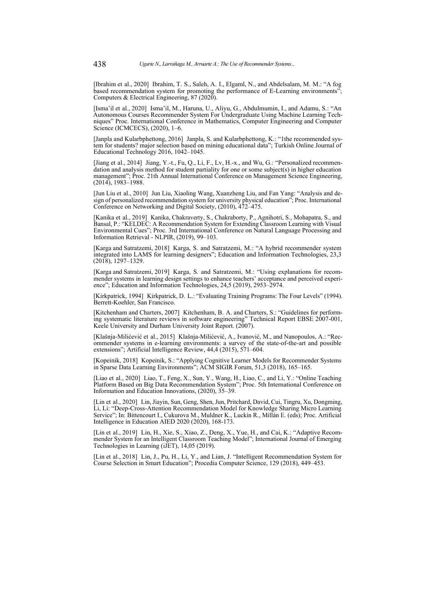<span id="page-24-1"></span>[Ibrahim et al., 2020] Ibrahim, T. S., Saleh, A. I., Elgaml, N., and Abdelsalam, M. M.: "A fog based recommendation system for promoting the performance of E-Learning environments' Computers & Electrical Engineering, 87 (2020).

<span id="page-24-2"></span>[Isma'il et al., 2020] Isma'il, M., Haruna, U., Aliyu, G., Abdulmumin, I., and Adamu, S.: "An Autonomous Courses Recommender System For Undergraduate Using Machine Learning Techniques" Proc. International Conference in Mathematics, Computer Engineering and Computer Science (ICMCECS), (2020), 1–6.

<span id="page-24-7"></span>[Janpla and Kularbphettong, 2016] Janpla, S. and Kularbphettong, K.: "1the recommended system for students? major selection based on mining educational data"; Turkish Online Journal of Educational Technology 2016, 1042–1045.

<span id="page-24-8"></span>[Jiang et al., 2014] Jiang, Y.-t., Fu, Q., Li, F., Lv, H.-x., and Wu, G.: "Personalized recommendation and analysis method for student partiality for one or some subject(s) in higher education management"; Proc. 21th Annual International Conference on Management Science Engineering, (2014), 1983–1988.

<span id="page-24-3"></span>[Jun Liu et al., 2010] Jun Liu, Xiaoling Wang, Xuanzheng Liu, and Fan Yang: "Analysis and design of personalized recommendation system for university physical education"; Proc. International Conference on Networking and Digital Society, (2010), 472–475.

<span id="page-24-4"></span>[Kanika et al., 2019] Kanika, Chakraverty, S., Chakraborty, P., Agnihotri, S., Mohapatra, S., and Bansal, P.: "KELDEC: A Recommendation System for Extending Classroom Learning with Visual Environmental Cues"; Proc. 3rd International Conference on Natural Language Processing and Information Retrieval - NLPIR, (2019), 99–103.

<span id="page-24-11"></span>[Karga and Satratzemi, 2018] Karga, S. and Satratzemi, M.: "A hybrid recommender system integrated into LAMS for learning designers"; Education and Information Technologies, 23,3 (2018), 1297–1329.

<span id="page-24-12"></span>[Karga and Satratzemi, 2019] Karga, S. and Satratzemi, M.: "Using explanations for recommender systems in learning design settings to enhance teachers' acceptance and perceived experience"; Education and Information Technologies, 24,5 (2019), 2953–2974.

<span id="page-24-14"></span>[Kirkpatrick, 1994] Kirkpatrick, D. L.: "Evaluating Training Programs: The Four Levels" (1994). Berrett-Koehler, San Francisco.

<span id="page-24-0"></span>[Kitchenham and Charters, 2007] Kitchenham, B. A. and Charters, S.: "Guidelines for performing systematic literature reviews in software engineering" Technical Report EBSE 2007-001, Keele University and Durham University Joint Report. (2007).

<span id="page-24-13"></span>[Klašnja-Milićević et al., 2015] Klašnja-Milićević, A., Ivanović, M., and Nanopoulos, A.: "Recommender systems in e-learning environments: a survey of the state-of-the-art and possible extensions"; Artificial Intelligence Review, 44,4 (2015), 571–604.

<span id="page-24-5"></span>[Kopeinik, 2018] Kopeinik, S.: "Applying Cognitive Learner Models for Recommender Systems in Sparse Data Learning Environments"; ACM SIGIR Forum, 51,3 (2018), 165–165.

<span id="page-24-9"></span>[Liao et al., 2020] Liao, T., Feng, X., Sun, Y., Wang, H., Liao, C., and Li, Y.: "Online Teaching Platform Based on Big Data Recommendation System"; Proc. 5th International Conference on Information and Education Innovations, (2020), 35–39.

<span id="page-24-15"></span>[Lin et al., 2020] Lin, Jiayin, Sun, Geng, Shen, Jun, Pritchard, David, Cui, Tingru, Xu, Dongming, Li, Li: "Deep-Cross-Attention Recommendation Model for Knowledge Sharing Micro Learning Service"; In: Bittencourt I., Cukurova M., Muldner K., Luckin R., Millán E. (eds); Proc. Artificial Intelligence in Education AIED 2020 (2020), 168-173.

<span id="page-24-10"></span>[Lin et al., 2019] Lin, H., Xie, S., Xiao, Z., Deng, X., Yue, H., and Cai, K.: "Adaptive Recommender System for an Intelligent Classroom Teaching Model"; International Journal of Emerging Technologies in Learning (iJET), 14,05 (2019).

<span id="page-24-6"></span>[Lin et al., 2018] Lin, J., Pu, H., Li, Y., and Lian, J. "Intelligent Recommendation System for Course Selection in Smart Education"; Procedia Computer Science, 129 (2018), 449–453.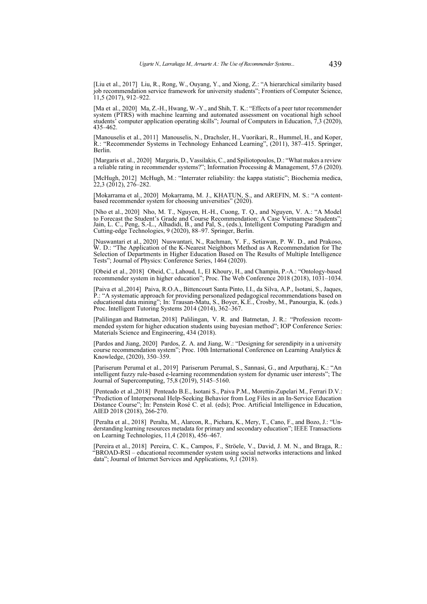<span id="page-25-1"></span>[Liu et al., 2017] Liu, R., Rong, W., Ouyang, Y., and Xiong, Z.: "A hierarchical similarity based job recommendation service framework for university students"; Frontiers of Computer Science, 11,5 (2017), 912–922.

<span id="page-25-2"></span>[Ma et al., 2020] Ma, Z.-H., Hwang, W.-Y., and Shih, T. K.: "Effects of a peer tutor recommender system (PTRS) with machine learning and automated assessment on vocational high school students' computer application operating skills"; Journal of Computers in Education, 7,3 (2020), 435–462.

<span id="page-25-13"></span>[Manouselis et al., 2011] Manouselis, N., Drachsler, H., Vuorikari, R., Hummel, H., and Koper, R.: "Recommender Systems in Technology Enhanced Learning", (2011), 387–415. Springer, Berlin.

<span id="page-25-12"></span>[Margaris et al., 2020] Margaris, D., Vassilakis, C., and Spiliotopoulos, D.: "What makes a review a reliable rating in recommender systems?"; Information Processing & Management, 57,6 (2020).

<span id="page-25-0"></span>[McHugh, 2012] McHugh, M.: "Interrater reliability: the kappa statistic"; Biochemia medica,  $22,3(2012), 276-282.$ 

<span id="page-25-8"></span>[Mokarrama et al., 2020] Mokarrama, M. J., KHATUN, S., and AREFIN, M. S.: "A contentbased recommender system for choosing universities" (2020).

<span id="page-25-3"></span>[Nho et al., 2020] Nho, M. T., Nguyen, H.-H., Cuong, T. Q., and Nguyen, V. A.: "A Model to Forecast the Student's Grade and Course Recommendation: A Case Vietnamese Students"; Jain, L. C., Peng, S.-L., Alhadidi, B., and Pal, S., (eds.), Intelligent Computing Paradigm and Cutting-edge Technologies, 9 (2020), 88–97. Springer, Berlin.

<span id="page-25-4"></span>[Nuswantari et al., 2020] Nuswantari, N., Rachman, Y. F., Setiawan, P. W. D., and Prakoso, W. D.: "The Application of the K-Nearest Neighbors Method as A Recommendation for The Selection of Departments in Higher Education Based on The Results of Multiple Intelligence Tests"; Journal of Physics: Conference Series, 1464 (2020).

<span id="page-25-9"></span>[Obeid et al., 2018] Obeid, C., Lahoud, I., El Khoury, H., and Champin, P.-A.: "Ontology-based recommender system in higher education"; Proc. The Web Conference 2018 (2018), 1031–1034.

<span id="page-25-14"></span>[Paiva et al.,2014] Paiva, R.O.A., Bittencourt Santa Pinto, I.I., da Silva, A.P., Isotani, S., Jaques, P.: "A systematic approach for providing personalized pedagogical recommendations based on educational data mining"; In: Trausan-Matu, S., Boyer, K.E., Crosby, M., Panourgia, K. (eds.) Proc. Intelligent Tutoring Systems 2014 (2014), 362–367.

<span id="page-25-10"></span>[Palilingan and Batmetan, 2018] Palilingan, V. R. and Batmetan, J. R.: "Profession recommended system for higher education students using bayesian method"; IOP Conference Series: Materials Science and Engineering, 434 (2018).

<span id="page-25-5"></span>[Pardos and Jiang, 2020] Pardos, Z. A. and Jiang, W.: "Designing for serendipity in a university course recommendation system"; Proc. 10th International Conference on Learning Analytics  $\&$ Knowledge, (2020), 350–359.

<span id="page-25-6"></span>[Pariserum Perumal et al., 2019] Pariserum Perumal, S., Sannasi, G., and Arputharaj, K.: "An intelligent fuzzy rule-based e-learning recommendation system for dynamic user interests"; The Journal of Supercomputing, 75,8 (2019), 5145–5160.

<span id="page-25-15"></span>[Penteado et al.,2018] Penteado B.E., Isotani S., Paiva P.M., Morettin-Zupelari M., Ferrari D.V.: "Prediction of Interpersonal Help-Seeking Behavior from Log Files in an In-Service Education Distance Course"; In: Penstein Rosé C. et al. (eds); Proc. Artificial Intelligence in Education, AIED 2018 (2018), 266-270.

<span id="page-25-11"></span>[Peralta et al., 2018] Peralta, M., Alarcon, R., Pichara, K., Mery, T., Cano, F., and Bozo, J.: "Understanding learning resources metadata for primary and secondary education"; IEEE Transactions on Learning Technologies, 11,4 (2018), 456–467.

<span id="page-25-7"></span>[Pereira et al., 2018] Pereira, C. K., Campos, F., Ströele, V., David, J. M. N., and Braga, R.: "BROAD-RSI – educational recommender system using social networks interactions and linked data"; Journal of Internet Services and Applications, 9,1 (2018).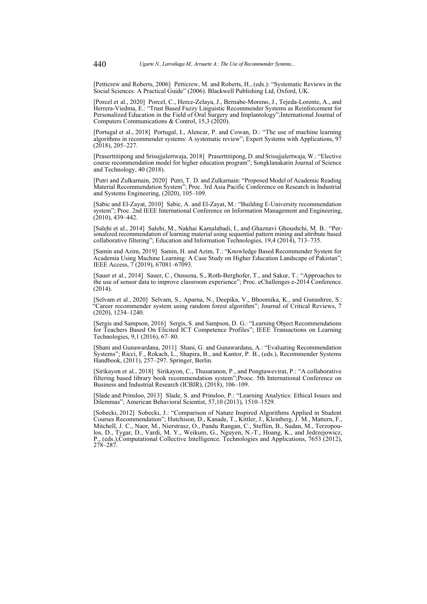<span id="page-26-1"></span>[Petticrew and Roberts, 2006] Petticrew, M. and Roberts, H., (eds.): "Systematic Reviews in the Social Sciences: A Practical Guide" (2006). Blackwell Publishing Ltd, Oxford, UK.

<span id="page-26-3"></span>[Porcel et al., 2020] Porcel, C., Herce-Zelaya, J., Bernabe-Moreno, J., Tejeda-Lorente, A., and Herrera-Viedma, E.: "Trust Based Fuzzy Linguistic Recommender Systems as Reinforcement for Personalized Education in the Field of Oral Surgery and Implantology"; International Journal of Computers Communications & Control, 15,3 (2020).

<span id="page-26-0"></span>[Portugal et al., 2018] Portugal, I., Alencar, P. and Cowan, D.: "The use of machine learning algorithms in recommender systems: A systematic review"; Expert Systems with Applications, 97 (2018), 205–227.

<span id="page-26-2"></span>[Praserttitipong and Srisujjalertwaja, 2018] Praserttitipong, D. and Srisujjalertwaja, W.: "Elective course recommendation model for higher education program"; Songklanakarin Journal of Science and Technology, 40 (2018).

<span id="page-26-4"></span>[Putri and Zulkarnain, 2020] Putri, T. D. and Zulkarnain: "Proposed Model of Academic Reading Material Recommendation System"; Proc. 3rd Asia Pacific Conference on Research in Industrial and Systems Engineering, (2020), 105–109.

<span id="page-26-5"></span>[Sabic and El-Zayat, 2010] Sabic, A. and El-Zayat, M.: "Building E-University recommendation system"; Proc. 2nd IEEE International Conference on Information Management and Engineering,  $(2010), 439 - 442.$ 

<span id="page-26-6"></span>[Salehi et al., 2014] Salehi, M., Nakhai Kamalabadi, I., and Ghaznavi Ghoushchi, M. B.: "Personalized recommendation of learning material using sequential pattern mining and attribute based collaborative filtering"; Education and Information Technologies, 19,4 (2014), 713–735.

<span id="page-26-9"></span>[Samin and Azim, 2019] Samin, H. and Azim, T.: "Knowledge Based Recommender System for Academia Using Machine Learning: A Case Study on Higher Education Landscape of Pakistan"; IEEE Access, 7 (2019), 67081–67093.

<span id="page-26-7"></span>[Sauer et al., 2014] Sauer, C., Oussena, S., Roth-Berghofer, T., and Sakur, T.: "Approaches to the use of sensor data to improve classroom experience"; Proc. eChallenges e-2014 Conference. (2014).

<span id="page-26-10"></span>[Selvam et al., 2020] Selvam, S., Aparna, N., Deepika, V., Bhoomika, K., and Gunashree, S.: "Career recommender system using random forest algorithm"; Journal of Critical Reviews, 7 (2020), 1234–1240.

<span id="page-26-12"></span>[Sergis and Sampson, 2016] Sergis, S. and Sampson, D. G.: "Learning Object Recommendations for Teachers Based On Elicited ICT Competence Profiles"; IEEE Transactions on Learning Technologies, 9,1 (2016), 67–80.

<span id="page-26-13"></span>[Shani and Gunawardana, 2011] Shani, G. and Gunawardana, A.: "Evaluating Recommendation Systems"; Ricci, F., Rokach, L., Shapira, B., and Kantor, P. B., (eds.), Recommender Systems Handbook, (2011), 257–297. Springer, Berlin.

<span id="page-26-11"></span>[Sirikayon et al., 2018] Sirikayon, C., Thusaranon, P., and Pongtawevirat, P.: "A collaborative filtering based library book recommendation system";Prooc. 5th International Conference on Business and Industrial Research (ICBIR), (2018), 106–109.

<span id="page-26-14"></span>[Slade and Prinsloo, 2013] Slade, S. and Prinsloo, P.: "Learning Analytics: Ethical Issues and Dilemmas"; American Behavioral Scientist, 57,10 (2013), 1510–1529.

<span id="page-26-8"></span>[Sobecki, 2012] Sobecki, J.: "Comparison of Nature Inspired Algorithms Applied in Student Courses Recommendation"; Hutchison, D., Kanade, T., Kittler, J., Kleinberg, J. M., Mattern, F., Mitchell, J. C., Naor, M., Nierstrasz, O., Pandu Rangan, C., Steffen, B., Sudan, M., Terzopoulos, D., Tygar, D., Vardi, M. Y., Weikum, G., Nguyen, N.-T., Hoang, K., and Jedrzejowicz, P., (eds.),Computational Collective Intelligence. Technologies and Applications, 7653 (2012), 278–287.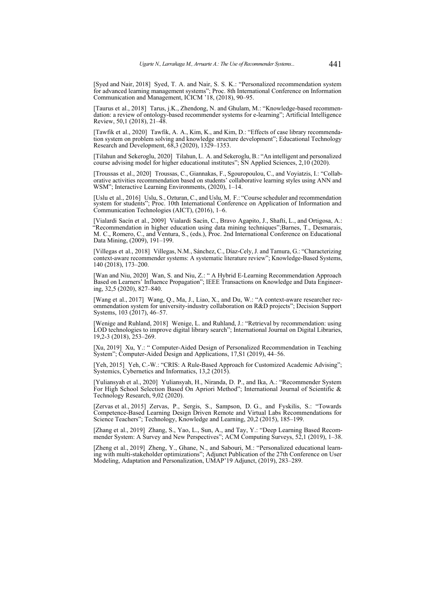<span id="page-27-2"></span>[Syed and Nair, 2018] Syed, T. A. and Nair, S. S. K.: "Personalized recommendation system for advanced learning management systems"; Proc. 8th International Conference on Information for advanced learning management systems"; Proc. 8th International Conference on Information Communication and Management, ICICM '18, (2018), 90–95.

<span id="page-27-1"></span>[Taurus et al., 2018] Tarus, j.K., Zhendong, N. and Ghulam, M.: "Knowledge-based recommendation: a review of ontology-based recommender systems for e-learning"; Artificial Intelligence Review, 50,1 (2018), 21–48.

<span id="page-27-3"></span>[Tawfik et al., 2020] Tawfik, A. A., Kim, K., and Kim, D.: "Effects of case library recommendation system on problem solving and knowledge structure development"; Educational Technology Research and Development, 68,3 (2020), 1329–1353.

<span id="page-27-12"></span>[Tilahun and Sekeroglu, 2020] Tilahun, L. A. and Sekeroglu, B.: "An intelligent and personalized course advising model for higher educational institutes"; SN Applied Sciences, 2,10 (2020).

<span id="page-27-4"></span>[Troussas et al., 2020] Troussas, C., Giannakas, F., Sgouropoulou, C., and Voyiatzis, I.: "Collaborative activities recommendation based on students' collaborative learning styles using ANN and WSM"; Interactive Learning Environments, (2020), 1–14.

<span id="page-27-5"></span>[Uslu et al., 2016] Uslu, S., Ozturan, C., and Uslu, M. F.: "Course scheduler and recommendation system for students"; Proc. 10th International Conference on Application of Information and Communication Technologies (AICT), (2016), 1–6.

<span id="page-27-6"></span>[Vialardi Sacín et al., 2009] Vialardi Sacín, C., Bravo Agapito, J., Shafti, L., and Ortigosa, A.: "Recommendation in higher education using data mining techniques";Barnes, T., Desmarais, M. C., Romero, C., and Ventura, S., (eds.), Proc. 2nd International Conference on Educational Data Mining, (2009), 191–199.

<span id="page-27-0"></span>[Villegas et al., 2018] Villegas, N.M., Sánchez, C., Díaz-Cely, J. and Tamura, G.: "Characterizing context-aware recommender systems: A systematic literature review"; Knowledge-Based Systems, 140 (2018), 173–200.

<span id="page-27-7"></span>[Wan and Niu, 2020] Wan, S. and Niu, Z.: " A Hybrid E-Learning Recommendation Approach Based on Learners' Influence Propagation"; IEEE Transactions on Knowledge and Data Engineering, 32,5 (2020), 827–840.

<span id="page-27-8"></span>[Wang et al., 2017] Wang, Q., Ma, J., Liao, X., and Du, W.: "A context-aware researcher recommendation system for university-industry collaboration on R&D projects"; Decision Support Systems, 103 (2017), 46–57.

<span id="page-27-9"></span>[Wenige and Ruhland, 2018] Wenige, L. and Ruhland, J.: "Retrieval by recommendation: using LOD technologies to improve digital library search"; International Journal on Digital Libraries, 19,2-3 (2018), 253–269.

<span id="page-27-13"></span>[Xu, 2019] Xu, Y.: " Computer-Aided Design of Personalized Recommendation in Teaching System"; Computer-Aided Design and Applications, 17,S1 (2019), 44–56.

<span id="page-27-10"></span>[Yeh, 2015] Yeh, C.-W.: "CRIS: A Rule-Based Approach for Customized Academic Advising"; Systemics, Cybernetics and Informatics, 13,2 (2015).

<span id="page-27-14"></span>[Yuliansyah et al., 2020] Yuliansyah, H., Niranda, D. P., and Ika, A.: "Recommender System For High School Selection Based On Apriori Method"; International Journal of Scientific & Technology Research, 9,02 (2020).

<span id="page-27-15"></span>[Zervas et al., 2015] Zervas, P., Sergis, S., Sampson, D. G., and Fyskilis, S.: "Towards Competence-Based Learning Design Driven Remote and Virtual Labs Recommendations for Science Teachers"; Technology, Knowledge and Learning, 20,2 (2015), 185–199.

<span id="page-27-16"></span>[Zhang et al., 2019] Zhang, S., Yao, L., Sun, A., and Tay, Y.: "Deep Learning Based Recommender System: A Survey and New Perspectives"; ACM Computing Surveys, 52,1 (2019), 1–38.

<span id="page-27-11"></span>[Zheng et al., 2019] Zheng, Y., Ghane, N., and Sabouri, M.: "Personalized educational learning with multi-stakeholder optimizations"; Adjunct Publication of the 27th Conference on User Modeling, Adaptation and Personalization, UMAP'19 Adjunct, (2019), 283–289.